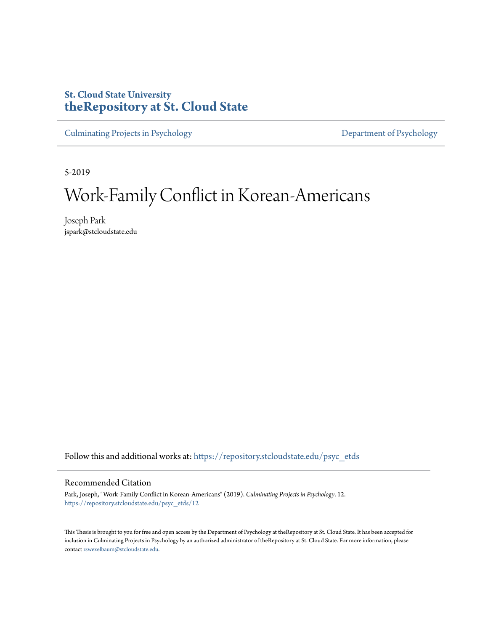# **St. Cloud State University [theRepository at St. Cloud State](https://repository.stcloudstate.edu?utm_source=repository.stcloudstate.edu%2Fpsyc_etds%2F12&utm_medium=PDF&utm_campaign=PDFCoverPages)**

[Culminating Projects in Psychology](https://repository.stcloudstate.edu/psyc_etds?utm_source=repository.stcloudstate.edu%2Fpsyc_etds%2F12&utm_medium=PDF&utm_campaign=PDFCoverPages) [Department of Psychology](https://repository.stcloudstate.edu/psy?utm_source=repository.stcloudstate.edu%2Fpsyc_etds%2F12&utm_medium=PDF&utm_campaign=PDFCoverPages)

5-2019

# Work-Family Conflict in Korean-Americans

Joseph Park jspark@stcloudstate.edu

Follow this and additional works at: [https://repository.stcloudstate.edu/psyc\\_etds](https://repository.stcloudstate.edu/psyc_etds?utm_source=repository.stcloudstate.edu%2Fpsyc_etds%2F12&utm_medium=PDF&utm_campaign=PDFCoverPages)

#### Recommended Citation

Park, Joseph, "Work-Family Conflict in Korean-Americans" (2019). *Culminating Projects in Psychology*. 12. [https://repository.stcloudstate.edu/psyc\\_etds/12](https://repository.stcloudstate.edu/psyc_etds/12?utm_source=repository.stcloudstate.edu%2Fpsyc_etds%2F12&utm_medium=PDF&utm_campaign=PDFCoverPages)

This Thesis is brought to you for free and open access by the Department of Psychology at theRepository at St. Cloud State. It has been accepted for inclusion in Culminating Projects in Psychology by an authorized administrator of theRepository at St. Cloud State. For more information, please contact [rswexelbaum@stcloudstate.edu.](mailto:rswexelbaum@stcloudstate.edu)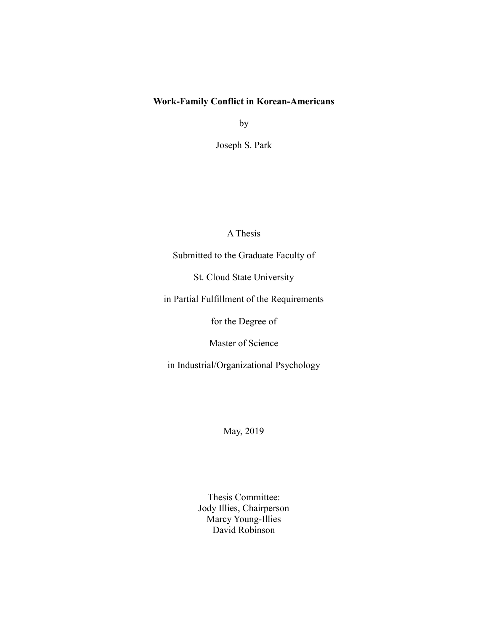### **Work-Family Conflict in Korean-Americans**

by

Joseph S. Park

A Thesis

Submitted to the Graduate Faculty of

St. Cloud State University

in Partial Fulfillment of the Requirements

for the Degree of

Master of Science

in Industrial/Organizational Psychology

May, 2019

Thesis Committee: Jody Illies, Chairperson Marcy Young-Illies David Robinson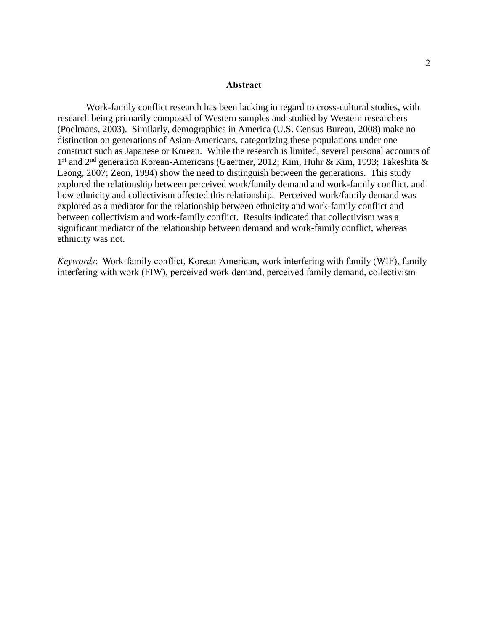#### **Abstract**

Work-family conflict research has been lacking in regard to cross-cultural studies, with research being primarily composed of Western samples and studied by Western researchers (Poelmans, 2003). Similarly, demographics in America (U.S. Census Bureau, 2008) make no distinction on generations of Asian-Americans, categorizing these populations under one construct such as Japanese or Korean. While the research is limited, several personal accounts of 1<sup>st</sup> and 2<sup>nd</sup> generation Korean-Americans (Gaertner, 2012; Kim, Huhr & Kim, 1993; Takeshita & Leong, 2007; Zeon, 1994) show the need to distinguish between the generations. This study explored the relationship between perceived work/family demand and work-family conflict, and how ethnicity and collectivism affected this relationship. Perceived work/family demand was explored as a mediator for the relationship between ethnicity and work-family conflict and between collectivism and work-family conflict. Results indicated that collectivism was a significant mediator of the relationship between demand and work-family conflict, whereas ethnicity was not.

*Keywords*: Work-family conflict, Korean-American, work interfering with family (WIF), family interfering with work (FIW), perceived work demand, perceived family demand, collectivism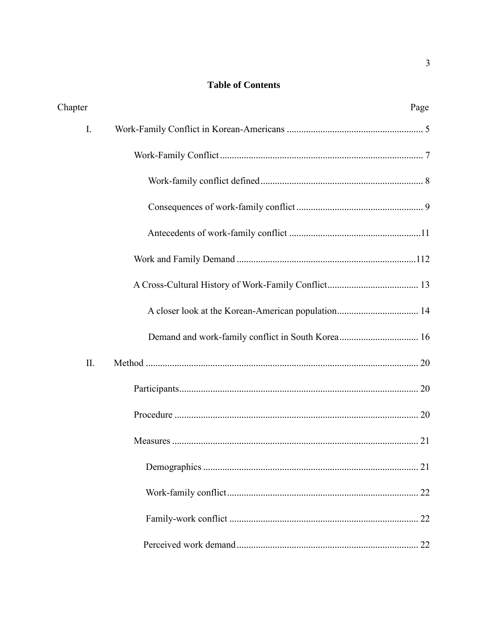# **Table of Contents**

| Chapter | Page                                               |
|---------|----------------------------------------------------|
| I.      |                                                    |
|         |                                                    |
|         |                                                    |
|         |                                                    |
|         |                                                    |
|         |                                                    |
|         |                                                    |
|         | A closer look at the Korean-American population 14 |
|         |                                                    |
| II.     |                                                    |
|         |                                                    |
|         |                                                    |
|         |                                                    |
|         |                                                    |
|         |                                                    |
|         |                                                    |
|         |                                                    |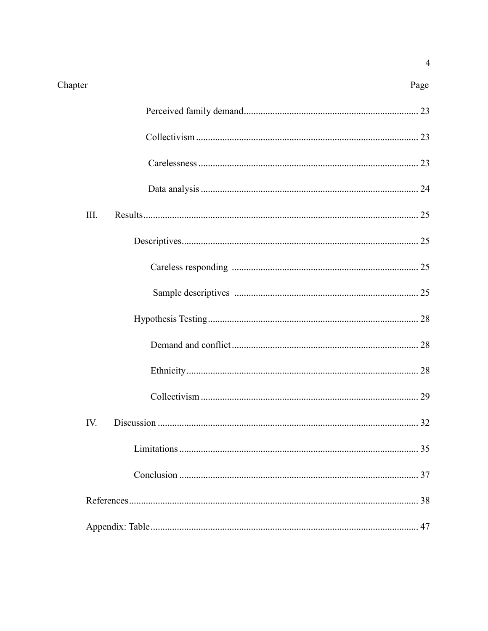# Chapter

Page

| III. |  |  |  |  |
|------|--|--|--|--|
|      |  |  |  |  |
|      |  |  |  |  |
|      |  |  |  |  |
|      |  |  |  |  |
|      |  |  |  |  |
|      |  |  |  |  |
|      |  |  |  |  |
| IV.  |  |  |  |  |
|      |  |  |  |  |
|      |  |  |  |  |
|      |  |  |  |  |
|      |  |  |  |  |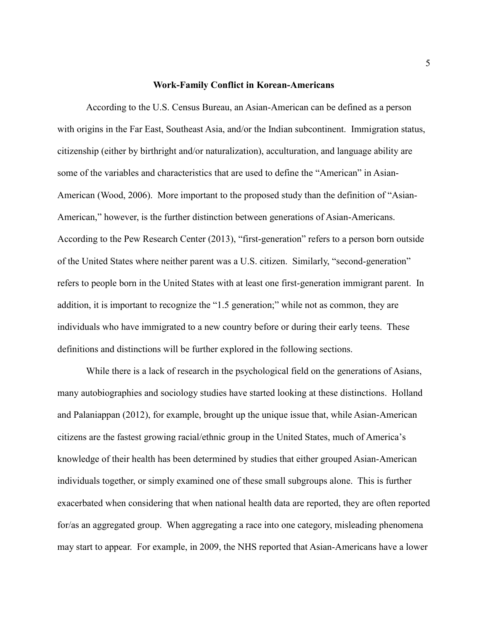#### **Work-Family Conflict in Korean-Americans**

<span id="page-5-0"></span>According to the U.S. Census Bureau, an Asian-American can be defined as a person with origins in the Far East, Southeast Asia, and/or the Indian subcontinent. Immigration status, citizenship (either by birthright and/or naturalization), acculturation, and language ability are some of the variables and characteristics that are used to define the "American" in Asian-American (Wood, 2006). More important to the proposed study than the definition of "Asian-American," however, is the further distinction between generations of Asian-Americans. According to the Pew Research Center (2013), "first-generation" refers to a person born outside of the United States where neither parent was a U.S. citizen. Similarly, "second-generation" refers to people born in the United States with at least one first-generation immigrant parent. In addition, it is important to recognize the "1.5 generation;" while not as common, they are individuals who have immigrated to a new country before or during their early teens. These definitions and distinctions will be further explored in the following sections.

While there is a lack of research in the psychological field on the generations of Asians, many autobiographies and sociology studies have started looking at these distinctions. Holland and Palaniappan (2012), for example, brought up the unique issue that, while Asian-American citizens are the fastest growing racial/ethnic group in the United States, much of America's knowledge of their health has been determined by studies that either grouped Asian-American individuals together, or simply examined one of these small subgroups alone. This is further exacerbated when considering that when national health data are reported, they are often reported for/as an aggregated group. When aggregating a race into one category, misleading phenomena may start to appear. For example, in 2009, the NHS reported that Asian-Americans have a lower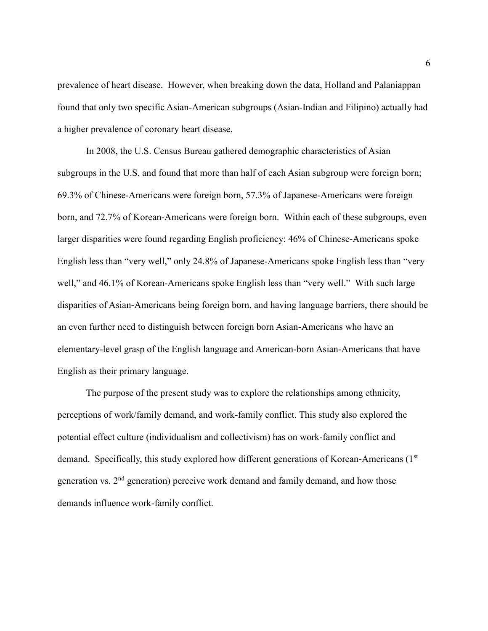prevalence of heart disease. However, when breaking down the data, Holland and Palaniappan found that only two specific Asian-American subgroups (Asian-Indian and Filipino) actually had a higher prevalence of coronary heart disease.

In 2008, the U.S. Census Bureau gathered demographic characteristics of Asian subgroups in the U.S. and found that more than half of each Asian subgroup were foreign born; 69.3% of Chinese-Americans were foreign born, 57.3% of Japanese-Americans were foreign born, and 72.7% of Korean-Americans were foreign born. Within each of these subgroups, even larger disparities were found regarding English proficiency: 46% of Chinese-Americans spoke English less than "very well," only 24.8% of Japanese-Americans spoke English less than "very well," and 46.1% of Korean-Americans spoke English less than "very well." With such large disparities of Asian-Americans being foreign born, and having language barriers, there should be an even further need to distinguish between foreign born Asian-Americans who have an elementary-level grasp of the English language and American-born Asian-Americans that have English as their primary language.

<span id="page-6-0"></span>The purpose of the present study was to explore the relationships among ethnicity, perceptions of work/family demand, and work-family conflict. This study also explored the potential effect culture (individualism and collectivism) has on work-family conflict and demand. Specifically, this study explored how different generations of Korean-Americans (1<sup>st</sup>) generation vs.  $2<sup>nd</sup>$  generation) perceive work demand and family demand, and how those demands influence work-family conflict.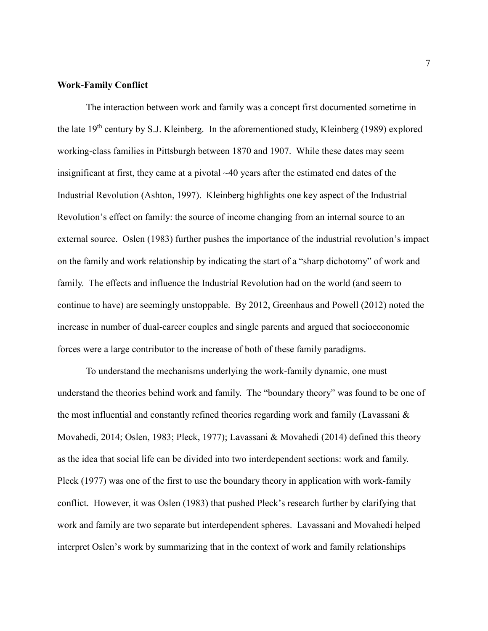#### **Work-Family Conflict**

The interaction between work and family was a concept first documented sometime in the late 19<sup>th</sup> century by S.J. Kleinberg. In the aforementioned study, Kleinberg (1989) explored working-class families in Pittsburgh between 1870 and 1907. While these dates may seem insignificant at first, they came at a pivotal  $~40$  years after the estimated end dates of the Industrial Revolution (Ashton, 1997). Kleinberg highlights one key aspect of the Industrial Revolution's effect on family: the source of income changing from an internal source to an external source. Oslen (1983) further pushes the importance of the industrial revolution's impact on the family and work relationship by indicating the start of a "sharp dichotomy" of work and family. The effects and influence the Industrial Revolution had on the world (and seem to continue to have) are seemingly unstoppable. By 2012, Greenhaus and Powell (2012) noted the increase in number of dual-career couples and single parents and argued that socioeconomic forces were a large contributor to the increase of both of these family paradigms.

To understand the mechanisms underlying the work-family dynamic, one must understand the theories behind work and family. The "boundary theory" was found to be one of the most influential and constantly refined theories regarding work and family (Lavassani & Movahedi, 2014; Oslen, 1983; Pleck, 1977); Lavassani & Movahedi (2014) defined this theory as the idea that social life can be divided into two interdependent sections: work and family. Pleck (1977) was one of the first to use the boundary theory in application with work-family conflict. However, it was Oslen (1983) that pushed Pleck's research further by clarifying that work and family are two separate but interdependent spheres. Lavassani and Movahedi helped interpret Oslen's work by summarizing that in the context of work and family relationships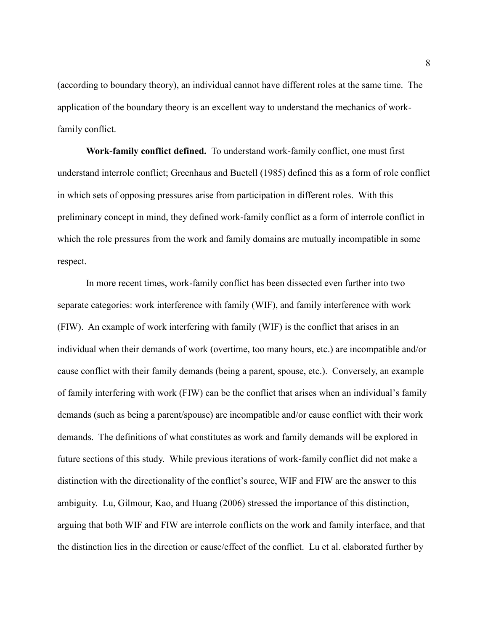(according to boundary theory), an individual cannot have different roles at the same time. The application of the boundary theory is an excellent way to understand the mechanics of workfamily conflict.

<span id="page-8-0"></span>**Work-family conflict defined.** To understand work-family conflict, one must first understand interrole conflict; Greenhaus and Buetell (1985) defined this as a form of role conflict in which sets of opposing pressures arise from participation in different roles. With this preliminary concept in mind, they defined work-family conflict as a form of interrole conflict in which the role pressures from the work and family domains are mutually incompatible in some respect.

In more recent times, work-family conflict has been dissected even further into two separate categories: work interference with family (WIF), and family interference with work (FIW). An example of work interfering with family (WIF) is the conflict that arises in an individual when their demands of work (overtime, too many hours, etc.) are incompatible and/or cause conflict with their family demands (being a parent, spouse, etc.). Conversely, an example of family interfering with work (FIW) can be the conflict that arises when an individual's family demands (such as being a parent/spouse) are incompatible and/or cause conflict with their work demands. The definitions of what constitutes as work and family demands will be explored in future sections of this study. While previous iterations of work-family conflict did not make a distinction with the directionality of the conflict's source, WIF and FIW are the answer to this ambiguity. Lu, Gilmour, Kao, and Huang (2006) stressed the importance of this distinction, arguing that both WIF and FIW are interrole conflicts on the work and family interface, and that the distinction lies in the direction or cause/effect of the conflict. Lu et al. elaborated further by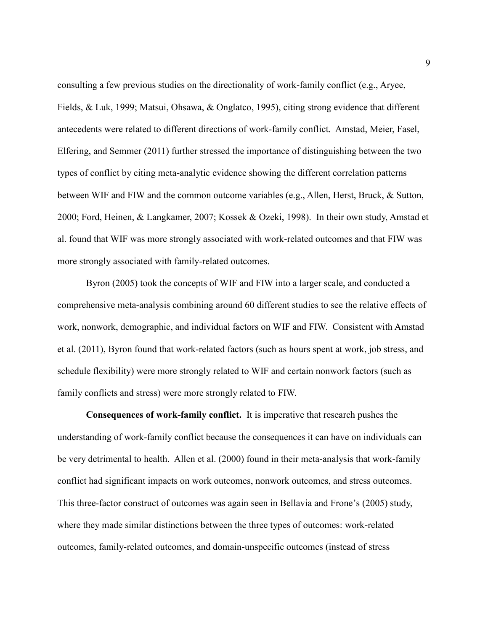consulting a few previous studies on the directionality of work-family conflict (e.g., Aryee, Fields, & Luk, 1999; Matsui, Ohsawa, & Onglatco, 1995), citing strong evidence that different antecedents were related to different directions of work-family conflict. Amstad, Meier, Fasel, Elfering, and Semmer (2011) further stressed the importance of distinguishing between the two types of conflict by citing meta-analytic evidence showing the different correlation patterns between WIF and FIW and the common outcome variables (e.g., Allen, Herst, Bruck, & Sutton, 2000; Ford, Heinen, & Langkamer, 2007; Kossek & Ozeki, 1998). In their own study, Amstad et al. found that WIF was more strongly associated with work-related outcomes and that FIW was more strongly associated with family-related outcomes.

Byron (2005) took the concepts of WIF and FIW into a larger scale, and conducted a comprehensive meta-analysis combining around 60 different studies to see the relative effects of work, nonwork, demographic, and individual factors on WIF and FIW. Consistent with Amstad et al. (2011), Byron found that work-related factors (such as hours spent at work, job stress, and schedule flexibility) were more strongly related to WIF and certain nonwork factors (such as family conflicts and stress) were more strongly related to FIW.

<span id="page-9-0"></span>**Consequences of work-family conflict.** It is imperative that research pushes the understanding of work-family conflict because the consequences it can have on individuals can be very detrimental to health. Allen et al. (2000) found in their meta-analysis that work-family conflict had significant impacts on work outcomes, nonwork outcomes, and stress outcomes. This three-factor construct of outcomes was again seen in Bellavia and Frone's (2005) study, where they made similar distinctions between the three types of outcomes: work-related outcomes, family-related outcomes, and domain-unspecific outcomes (instead of stress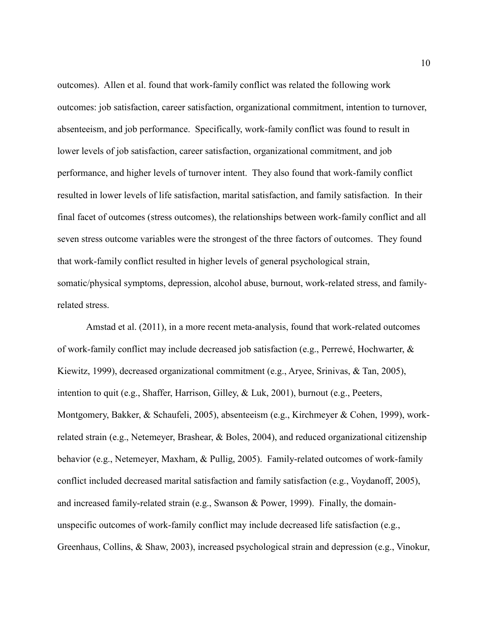outcomes). Allen et al. found that work-family conflict was related the following work outcomes: job satisfaction, career satisfaction, organizational commitment, intention to turnover, absenteeism, and job performance. Specifically, work-family conflict was found to result in lower levels of job satisfaction, career satisfaction, organizational commitment, and job performance, and higher levels of turnover intent. They also found that work-family conflict resulted in lower levels of life satisfaction, marital satisfaction, and family satisfaction. In their final facet of outcomes (stress outcomes), the relationships between work-family conflict and all seven stress outcome variables were the strongest of the three factors of outcomes. They found that work-family conflict resulted in higher levels of general psychological strain, somatic/physical symptoms, depression, alcohol abuse, burnout, work-related stress, and familyrelated stress.

Amstad et al. (2011), in a more recent meta-analysis, found that work-related outcomes of work-family conflict may include decreased job satisfaction (e.g., Perrewé, Hochwarter, & Kiewitz, 1999), decreased organizational commitment (e.g., Aryee, Srinivas, & Tan, 2005), intention to quit (e.g., Shaffer, Harrison, Gilley, & Luk, 2001), burnout (e.g., Peeters, Montgomery, Bakker, & Schaufeli, 2005), absenteeism (e.g., Kirchmeyer & Cohen, 1999), workrelated strain (e.g., Netemeyer, Brashear, & Boles, 2004), and reduced organizational citizenship behavior (e.g., Netemeyer, Maxham, & Pullig, 2005). Family-related outcomes of work-family conflict included decreased marital satisfaction and family satisfaction (e.g., Voydanoff, 2005), and increased family-related strain (e.g., Swanson & Power, 1999). Finally, the domainunspecific outcomes of work-family conflict may include decreased life satisfaction (e.g., Greenhaus, Collins, & Shaw, 2003), increased psychological strain and depression (e.g., Vinokur,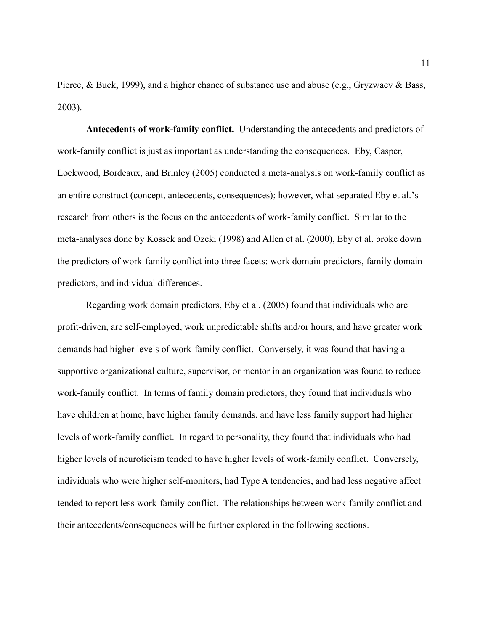Pierce, & Buck, 1999), and a higher chance of substance use and abuse (e.g., Gryzwacv & Bass, 2003).

<span id="page-11-0"></span>**Antecedents of work-family conflict.** Understanding the antecedents and predictors of work-family conflict is just as important as understanding the consequences. Eby, Casper, Lockwood, Bordeaux, and Brinley (2005) conducted a meta-analysis on work-family conflict as an entire construct (concept, antecedents, consequences); however, what separated Eby et al.'s research from others is the focus on the antecedents of work-family conflict. Similar to the meta-analyses done by Kossek and Ozeki (1998) and Allen et al. (2000), Eby et al. broke down the predictors of work-family conflict into three facets: work domain predictors, family domain predictors, and individual differences.

<span id="page-11-1"></span>Regarding work domain predictors, Eby et al. (2005) found that individuals who are profit-driven, are self-employed, work unpredictable shifts and/or hours, and have greater work demands had higher levels of work-family conflict. Conversely, it was found that having a supportive organizational culture, supervisor, or mentor in an organization was found to reduce work-family conflict. In terms of family domain predictors, they found that individuals who have children at home, have higher family demands, and have less family support had higher levels of work-family conflict. In regard to personality, they found that individuals who had higher levels of neuroticism tended to have higher levels of work-family conflict. Conversely, individuals who were higher self-monitors, had Type A tendencies, and had less negative affect tended to report less work-family conflict. The relationships between work-family conflict and their antecedents/consequences will be further explored in the following sections.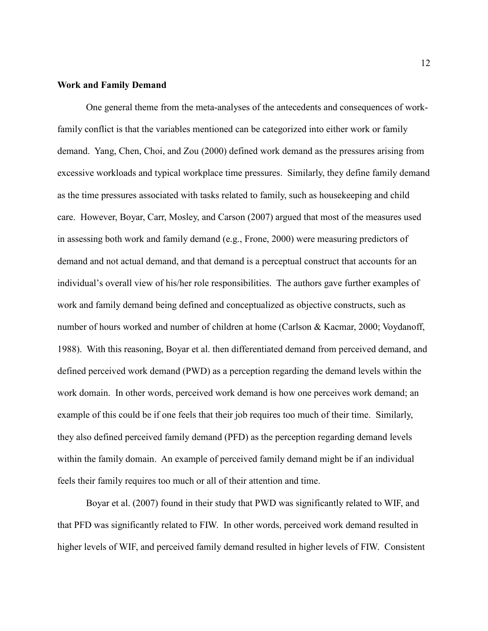#### **Work and Family Demand**

One general theme from the meta-analyses of the antecedents and consequences of workfamily conflict is that the variables mentioned can be categorized into either work or family demand. Yang, Chen, Choi, and Zou (2000) defined work demand as the pressures arising from excessive workloads and typical workplace time pressures. Similarly, they define family demand as the time pressures associated with tasks related to family, such as housekeeping and child care. However, Boyar, Carr, Mosley, and Carson (2007) argued that most of the measures used in assessing both work and family demand (e.g., Frone, 2000) were measuring predictors of demand and not actual demand, and that demand is a perceptual construct that accounts for an individual's overall view of his/her role responsibilities. The authors gave further examples of work and family demand being defined and conceptualized as objective constructs, such as number of hours worked and number of children at home (Carlson & Kacmar, 2000; Voydanoff, 1988). With this reasoning, Boyar et al. then differentiated demand from perceived demand, and defined perceived work demand (PWD) as a perception regarding the demand levels within the work domain. In other words, perceived work demand is how one perceives work demand; an example of this could be if one feels that their job requires too much of their time. Similarly, they also defined perceived family demand (PFD) as the perception regarding demand levels within the family domain. An example of perceived family demand might be if an individual feels their family requires too much or all of their attention and time.

Boyar et al. (2007) found in their study that PWD was significantly related to WIF, and that PFD was significantly related to FIW. In other words, perceived work demand resulted in higher levels of WIF, and perceived family demand resulted in higher levels of FIW. Consistent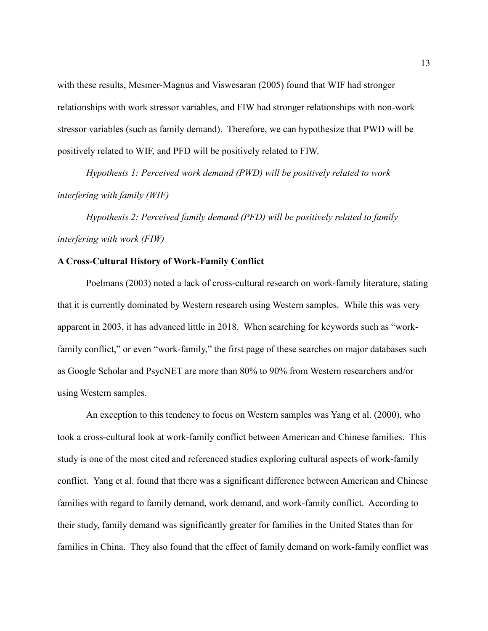with these results, Mesmer-Magnus and Viswesaran (2005) found that WIF had stronger relationships with work stressor variables, and FIW had stronger relationships with non-work stressor variables (such as family demand). Therefore, we can hypothesize that PWD will be positively related to WIF, and PFD will be positively related to FIW.

*Hypothesis 1: Perceived work demand (PWD) will be positively related to work interfering with family (WIF)*

*Hypothesis 2: Perceived family demand (PFD) will be positively related to family interfering with work (FIW)*

#### <span id="page-13-0"></span>**A Cross-Cultural History of Work-Family Conflict**

Poelmans (2003) noted a lack of cross-cultural research on work-family literature, stating that it is currently dominated by Western research using Western samples. While this was very apparent in 2003, it has advanced little in 2018. When searching for keywords such as "workfamily conflict," or even "work-family," the first page of these searches on major databases such as Google Scholar and PsycNET are more than 80% to 90% from Western researchers and/or using Western samples.

An exception to this tendency to focus on Western samples was Yang et al. (2000), who took a cross-cultural look at work-family conflict between American and Chinese families. This study is one of the most cited and referenced studies exploring cultural aspects of work-family conflict. Yang et al. found that there was a significant difference between American and Chinese families with regard to family demand, work demand, and work-family conflict. According to their study, family demand was significantly greater for families in the United States than for families in China. They also found that the effect of family demand on work-family conflict was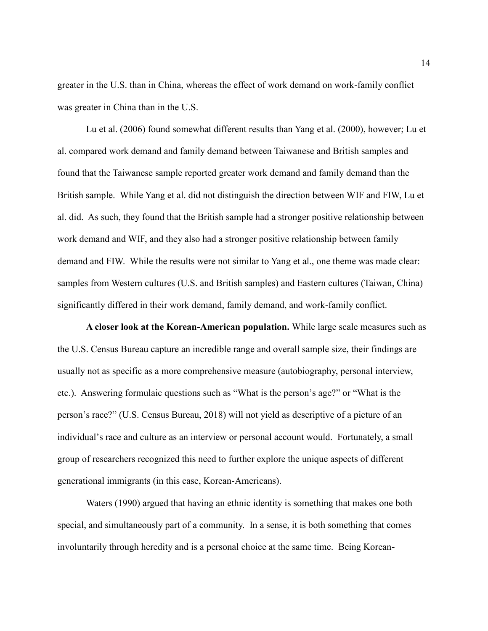greater in the U.S. than in China, whereas the effect of work demand on work-family conflict was greater in China than in the U.S.

Lu et al. (2006) found somewhat different results than Yang et al. (2000), however; Lu et al. compared work demand and family demand between Taiwanese and British samples and found that the Taiwanese sample reported greater work demand and family demand than the British sample. While Yang et al. did not distinguish the direction between WIF and FIW, Lu et al. did. As such, they found that the British sample had a stronger positive relationship between work demand and WIF, and they also had a stronger positive relationship between family demand and FIW. While the results were not similar to Yang et al., one theme was made clear: samples from Western cultures (U.S. and British samples) and Eastern cultures (Taiwan, China) significantly differed in their work demand, family demand, and work-family conflict.

<span id="page-14-0"></span>**A closer look at the Korean-American population.** While large scale measures such as the U.S. Census Bureau capture an incredible range and overall sample size, their findings are usually not as specific as a more comprehensive measure (autobiography, personal interview, etc.). Answering formulaic questions such as "What is the person's age?" or "What is the person's race?" (U.S. Census Bureau, 2018) will not yield as descriptive of a picture of an individual's race and culture as an interview or personal account would. Fortunately, a small group of researchers recognized this need to further explore the unique aspects of different generational immigrants (in this case, Korean-Americans).

Waters (1990) argued that having an ethnic identity is something that makes one both special, and simultaneously part of a community. In a sense, it is both something that comes involuntarily through heredity and is a personal choice at the same time. Being Korean-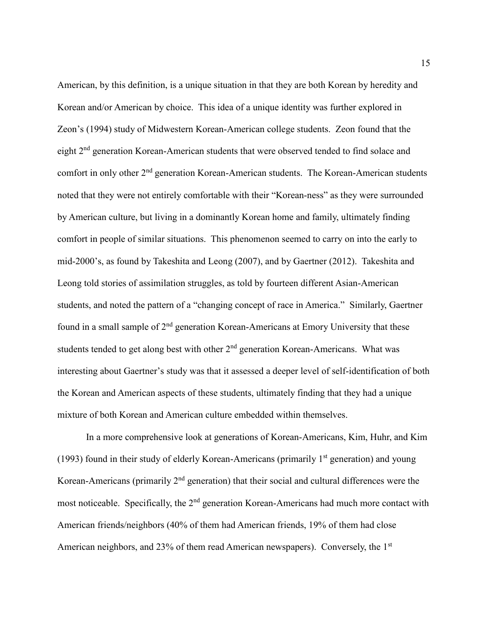American, by this definition, is a unique situation in that they are both Korean by heredity and Korean and/or American by choice. This idea of a unique identity was further explored in Zeon's (1994) study of Midwestern Korean-American college students. Zeon found that the eight 2nd generation Korean-American students that were observed tended to find solace and comfort in only other 2<sup>nd</sup> generation Korean-American students. The Korean-American students noted that they were not entirely comfortable with their "Korean-ness" as they were surrounded by American culture, but living in a dominantly Korean home and family, ultimately finding comfort in people of similar situations. This phenomenon seemed to carry on into the early to mid-2000's, as found by Takeshita and Leong (2007), and by Gaertner (2012). Takeshita and Leong told stories of assimilation struggles, as told by fourteen different Asian-American students, and noted the pattern of a "changing concept of race in America." Similarly, Gaertner found in a small sample of  $2<sup>nd</sup>$  generation Korean-Americans at Emory University that these students tended to get along best with other  $2<sup>nd</sup>$  generation Korean-Americans. What was interesting about Gaertner's study was that it assessed a deeper level of self-identification of both the Korean and American aspects of these students, ultimately finding that they had a unique mixture of both Korean and American culture embedded within themselves.

In a more comprehensive look at generations of Korean-Americans, Kim, Huhr, and Kim (1993) found in their study of elderly Korean-Americans (primarily  $1<sup>st</sup>$  generation) and young Korean-Americans (primarily  $2<sup>nd</sup>$  generation) that their social and cultural differences were the most noticeable. Specifically, the 2<sup>nd</sup> generation Korean-Americans had much more contact with American friends/neighbors (40% of them had American friends, 19% of them had close American neighbors, and 23% of them read American newspapers). Conversely, the 1<sup>st</sup>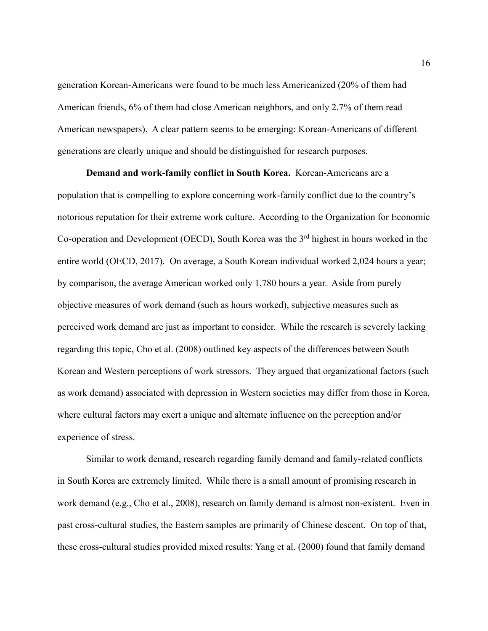generation Korean-Americans were found to be much less Americanized (20% of them had American friends, 6% of them had close American neighbors, and only 2.7% of them read American newspapers). A clear pattern seems to be emerging: Korean-Americans of different generations are clearly unique and should be distinguished for research purposes.

<span id="page-16-0"></span>**Demand and work-family conflict in South Korea.** Korean-Americans are a population that is compelling to explore concerning work-family conflict due to the country's notorious reputation for their extreme work culture. According to the Organization for Economic Co-operation and Development (OECD), South Korea was the 3<sup>rd</sup> highest in hours worked in the entire world (OECD, 2017). On average, a South Korean individual worked 2,024 hours a year; by comparison, the average American worked only 1,780 hours a year. Aside from purely objective measures of work demand (such as hours worked), subjective measures such as perceived work demand are just as important to consider. While the research is severely lacking regarding this topic, Cho et al. (2008) outlined key aspects of the differences between South Korean and Western perceptions of work stressors. They argued that organizational factors (such as work demand) associated with depression in Western societies may differ from those in Korea, where cultural factors may exert a unique and alternate influence on the perception and/or experience of stress.

Similar to work demand, research regarding family demand and family-related conflicts in South Korea are extremely limited. While there is a small amount of promising research in work demand (e.g., Cho et al., 2008), research on family demand is almost non-existent. Even in past cross-cultural studies, the Eastern samples are primarily of Chinese descent. On top of that, these cross-cultural studies provided mixed results: Yang et al. (2000) found that family demand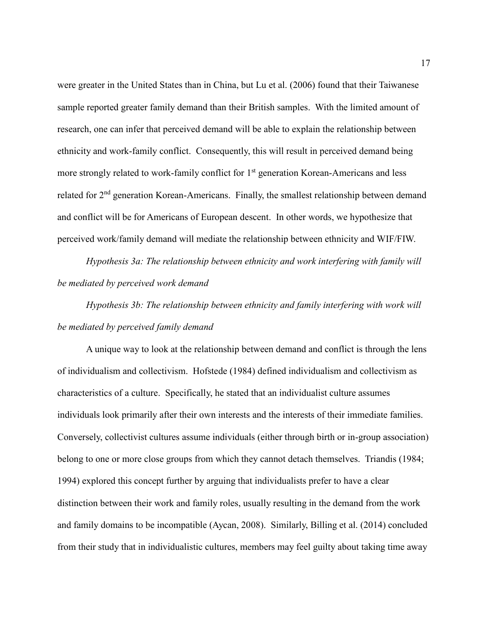were greater in the United States than in China, but Lu et al. (2006) found that their Taiwanese sample reported greater family demand than their British samples. With the limited amount of research, one can infer that perceived demand will be able to explain the relationship between ethnicity and work-family conflict. Consequently, this will result in perceived demand being more strongly related to work-family conflict for 1<sup>st</sup> generation Korean-Americans and less related for  $2<sup>nd</sup>$  generation Korean-Americans. Finally, the smallest relationship between demand and conflict will be for Americans of European descent. In other words, we hypothesize that perceived work/family demand will mediate the relationship between ethnicity and WIF/FIW.

*Hypothesis 3a: The relationship between ethnicity and work interfering with family will be mediated by perceived work demand*

*Hypothesis 3b: The relationship between ethnicity and family interfering with work will be mediated by perceived family demand*

A unique way to look at the relationship between demand and conflict is through the lens of individualism and collectivism. Hofstede (1984) defined individualism and collectivism as characteristics of a culture. Specifically, he stated that an individualist culture assumes individuals look primarily after their own interests and the interests of their immediate families. Conversely, collectivist cultures assume individuals (either through birth or in-group association) belong to one or more close groups from which they cannot detach themselves. Triandis (1984; 1994) explored this concept further by arguing that individualists prefer to have a clear distinction between their work and family roles, usually resulting in the demand from the work and family domains to be incompatible (Aycan, 2008). Similarly, Billing et al. (2014) concluded from their study that in individualistic cultures, members may feel guilty about taking time away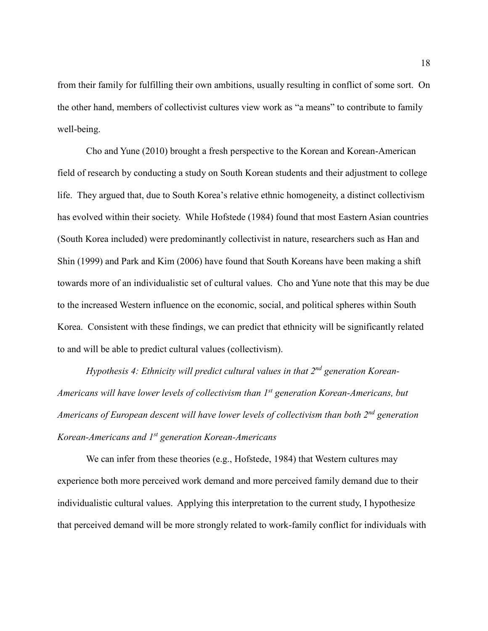from their family for fulfilling their own ambitions, usually resulting in conflict of some sort. On the other hand, members of collectivist cultures view work as "a means" to contribute to family well-being.

Cho and Yune (2010) brought a fresh perspective to the Korean and Korean-American field of research by conducting a study on South Korean students and their adjustment to college life. They argued that, due to South Korea's relative ethnic homogeneity, a distinct collectivism has evolved within their society. While Hofstede (1984) found that most Eastern Asian countries (South Korea included) were predominantly collectivist in nature, researchers such as Han and Shin (1999) and Park and Kim (2006) have found that South Koreans have been making a shift towards more of an individualistic set of cultural values. Cho and Yune note that this may be due to the increased Western influence on the economic, social, and political spheres within South Korea. Consistent with these findings, we can predict that ethnicity will be significantly related to and will be able to predict cultural values (collectivism).

*Hypothesis 4: Ethnicity will predict cultural values in that 2nd generation Korean-Americans will have lower levels of collectivism than 1st generation Korean-Americans, but Americans of European descent will have lower levels of collectivism than both 2nd generation Korean-Americans and 1st generation Korean-Americans*

We can infer from these theories (e.g., Hofstede, 1984) that Western cultures may experience both more perceived work demand and more perceived family demand due to their individualistic cultural values. Applying this interpretation to the current study, I hypothesize that perceived demand will be more strongly related to work-family conflict for individuals with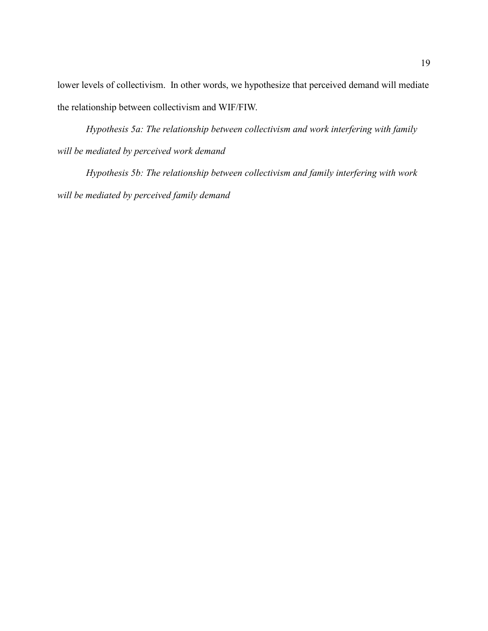lower levels of collectivism. In other words, we hypothesize that perceived demand will mediate the relationship between collectivism and WIF/FIW.

*Hypothesis 5a: The relationship between collectivism and work interfering with family will be mediated by perceived work demand*

*Hypothesis 5b: The relationship between collectivism and family interfering with work will be mediated by perceived family demand*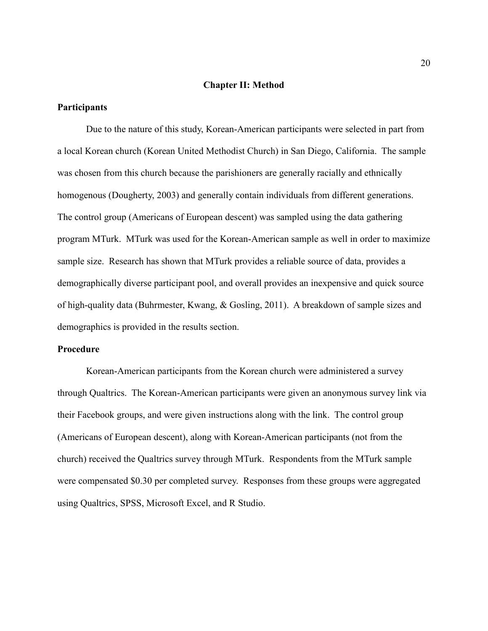#### **Chapter II: Method**

#### <span id="page-20-1"></span><span id="page-20-0"></span>**Participants**

Due to the nature of this study, Korean-American participants were selected in part from a local Korean church (Korean United Methodist Church) in San Diego, California. The sample was chosen from this church because the parishioners are generally racially and ethnically homogenous (Dougherty, 2003) and generally contain individuals from different generations. The control group (Americans of European descent) was sampled using the data gathering program MTurk. MTurk was used for the Korean-American sample as well in order to maximize sample size. Research has shown that MTurk provides a reliable source of data, provides a demographically diverse participant pool, and overall provides an inexpensive and quick source of high-quality data (Buhrmester, Kwang, & Gosling, 2011). A breakdown of sample sizes and demographics is provided in the results section.

#### <span id="page-20-2"></span>**Procedure**

Korean-American participants from the Korean church were administered a survey through Qualtrics. The Korean-American participants were given an anonymous survey link via their Facebook groups, and were given instructions along with the link. The control group (Americans of European descent), along with Korean-American participants (not from the church) received the Qualtrics survey through MTurk. Respondents from the MTurk sample were compensated \$0.30 per completed survey. Responses from these groups were aggregated using Qualtrics, SPSS, Microsoft Excel, and R Studio.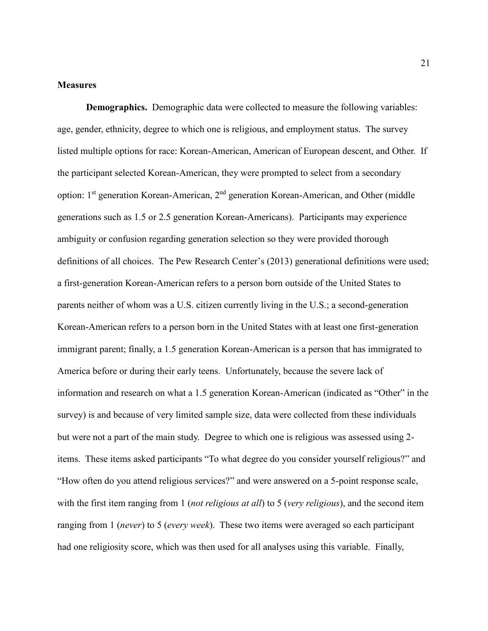#### <span id="page-21-0"></span>**Measures**

<span id="page-21-1"></span>**Demographics.** Demographic data were collected to measure the following variables: age, gender, ethnicity, degree to which one is religious, and employment status. The survey listed multiple options for race: Korean-American, American of European descent, and Other. If the participant selected Korean-American, they were prompted to select from a secondary option: 1<sup>st</sup> generation Korean-American, 2<sup>nd</sup> generation Korean-American, and Other (middle generations such as 1.5 or 2.5 generation Korean-Americans). Participants may experience ambiguity or confusion regarding generation selection so they were provided thorough definitions of all choices. The Pew Research Center's (2013) generational definitions were used; a first-generation Korean-American refers to a person born outside of the United States to parents neither of whom was a U.S. citizen currently living in the U.S.; a second-generation Korean-American refers to a person born in the United States with at least one first-generation immigrant parent; finally, a 1.5 generation Korean-American is a person that has immigrated to America before or during their early teens. Unfortunately, because the severe lack of information and research on what a 1.5 generation Korean-American (indicated as "Other" in the survey) is and because of very limited sample size, data were collected from these individuals but were not a part of the main study. Degree to which one is religious was assessed using 2 items. These items asked participants "To what degree do you consider yourself religious?" and "How often do you attend religious services?" and were answered on a 5-point response scale, with the first item ranging from 1 (*not religious at all*) to 5 (*very religious*), and the second item ranging from 1 (*never*) to 5 (*every week*). These two items were averaged so each participant had one religiosity score, which was then used for all analyses using this variable. Finally,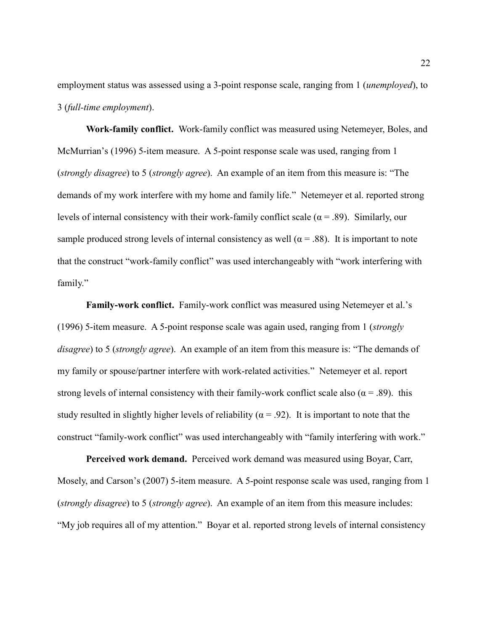employment status was assessed using a 3-point response scale, ranging from 1 (*unemployed*), to 3 (*full-time employment*).

<span id="page-22-0"></span>**Work-family conflict.** Work-family conflict was measured using Netemeyer, Boles, and McMurrian's (1996) 5-item measure. A 5-point response scale was used, ranging from 1 (*strongly disagree*) to 5 (*strongly agree*). An example of an item from this measure is: "The demands of my work interfere with my home and family life." Netemeyer et al. reported strong levels of internal consistency with their work-family conflict scale ( $\alpha$  = .89). Similarly, our sample produced strong levels of internal consistency as well ( $\alpha$  = .88). It is important to note that the construct "work-family conflict" was used interchangeably with "work interfering with family."

<span id="page-22-1"></span>**Family-work conflict.** Family-work conflict was measured using Netemeyer et al.'s (1996) 5-item measure. A 5-point response scale was again used, ranging from 1 (*strongly disagree*) to 5 (*strongly agree*). An example of an item from this measure is: "The demands of my family or spouse/partner interfere with work-related activities." Netemeyer et al. report strong levels of internal consistency with their family-work conflict scale also ( $\alpha = .89$ ). this study resulted in slightly higher levels of reliability ( $\alpha$  = .92). It is important to note that the construct "family-work conflict" was used interchangeably with "family interfering with work."

<span id="page-22-2"></span>**Perceived work demand.** Perceived work demand was measured using Boyar, Carr, Mosely, and Carson's (2007) 5-item measure. A 5-point response scale was used, ranging from 1 (*strongly disagree*) to 5 (*strongly agree*). An example of an item from this measure includes: "My job requires all of my attention." Boyar et al. reported strong levels of internal consistency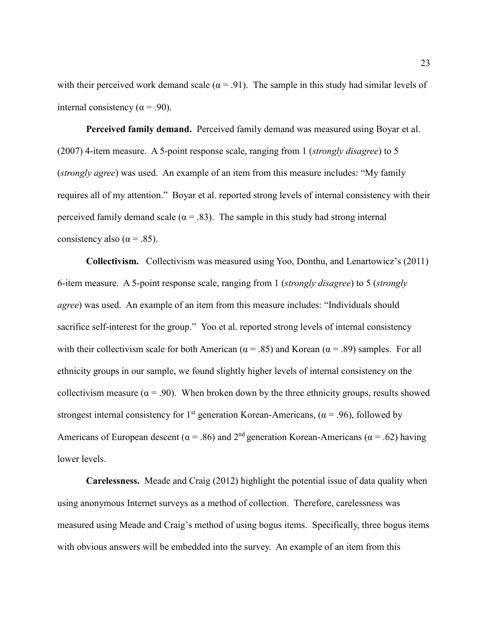with their perceived work demand scale ( $\alpha$  = .91). The sample in this study had similar levels of internal consistency ( $\alpha$  = .90).

<span id="page-23-0"></span>**Perceived family demand.** Perceived family demand was measured using Boyar et al. (2007) 4-item measure. A 5-point response scale, ranging from 1 (*strongly disagree*) to 5 (*strongly agree*) was used. An example of an item from this measure includes: "My family requires all of my attention." Boyar et al. reported strong levels of internal consistency with their perceived family demand scale ( $\alpha$  = .83). The sample in this study had strong internal consistency also ( $\alpha$  = .85).

<span id="page-23-1"></span>**Collectivism.** Collectivism was measured using Yoo, Donthu, and Lenartowicz's (2011) 6-item measure. A 5-point response scale, ranging from 1 (*strongly disagree*) to 5 (*strongly agree*) was used. An example of an item from this measure includes: "Individuals should sacrifice self-interest for the group." Yoo et al. reported strong levels of internal consistency with their collectivism scale for both American ( $\alpha$  = .85) and Korean ( $\alpha$  = .89) samples. For all ethnicity groups in our sample, we found slightly higher levels of internal consistency on the collectivism measure ( $\alpha = .90$ ). When broken down by the three ethnicity groups, results showed strongest internal consistency for 1<sup>st</sup> generation Korean-Americans, ( $\alpha$  = .96), followed by Americans of European descent ( $\alpha$  = .86) and 2<sup>nd</sup> generation Korean-Americans ( $\alpha$  = .62) having lower levels.

<span id="page-23-2"></span>**Carelessness.** Meade and Craig (2012) highlight the potential issue of data quality when using anonymous Internet surveys as a method of collection. Therefore, carelessness was measured using Meade and Craig's method of using bogus items. Specifically, three bogus items with obvious answers will be embedded into the survey. An example of an item from this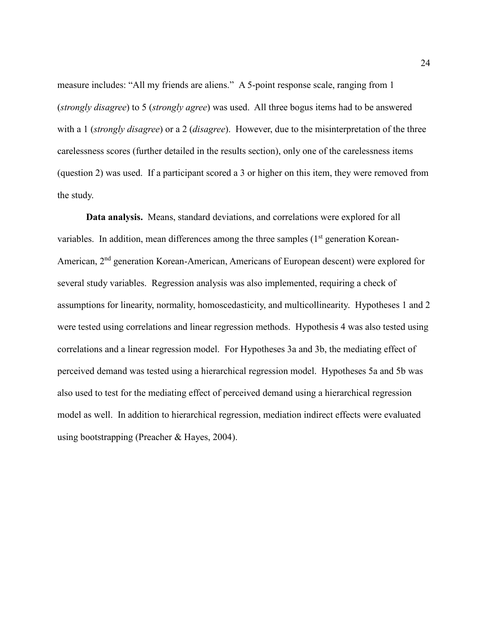measure includes: "All my friends are aliens." A 5-point response scale, ranging from 1 (*strongly disagree*) to 5 (*strongly agree*) was used. All three bogus items had to be answered with a 1 (*strongly disagree*) or a 2 (*disagree*). However, due to the misinterpretation of the three carelessness scores (further detailed in the results section), only one of the carelessness items (question 2) was used. If a participant scored a 3 or higher on this item, they were removed from the study.

<span id="page-24-0"></span>**Data analysis.** Means, standard deviations, and correlations were explored for all variables. In addition, mean differences among the three samples  $(1<sup>st</sup>$  generation Korean-American, 2nd generation Korean-American, Americans of European descent) were explored for several study variables. Regression analysis was also implemented, requiring a check of assumptions for linearity, normality, homoscedasticity, and multicollinearity. Hypotheses 1 and 2 were tested using correlations and linear regression methods. Hypothesis 4 was also tested using correlations and a linear regression model. For Hypotheses 3a and 3b, the mediating effect of perceived demand was tested using a hierarchical regression model. Hypotheses 5a and 5b was also used to test for the mediating effect of perceived demand using a hierarchical regression model as well. In addition to hierarchical regression, mediation indirect effects were evaluated using bootstrapping (Preacher & Hayes, 2004).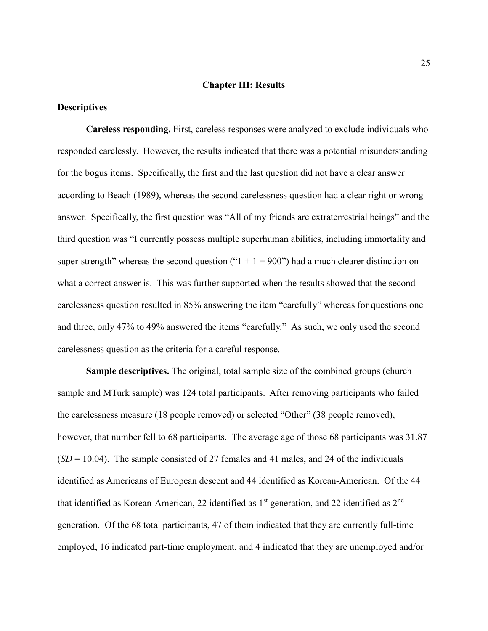#### **Chapter III: Results**

#### <span id="page-25-1"></span><span id="page-25-0"></span>**Descriptives**

**Careless responding.** First, careless responses were analyzed to exclude individuals who responded carelessly. However, the results indicated that there was a potential misunderstanding for the bogus items. Specifically, the first and the last question did not have a clear answer according to Beach (1989), whereas the second carelessness question had a clear right or wrong answer. Specifically, the first question was "All of my friends are extraterrestrial beings" and the third question was "I currently possess multiple superhuman abilities, including immortality and super-strength" whereas the second question (" $1 + 1 = 900$ ") had a much clearer distinction on what a correct answer is. This was further supported when the results showed that the second carelessness question resulted in 85% answering the item "carefully" whereas for questions one and three, only 47% to 49% answered the items "carefully." As such, we only used the second carelessness question as the criteria for a careful response.

**Sample descriptives.** The original, total sample size of the combined groups (church sample and MTurk sample) was 124 total participants. After removing participants who failed the carelessness measure (18 people removed) or selected "Other" (38 people removed), however, that number fell to 68 participants. The average age of those 68 participants was 31.87  $(SD = 10.04)$ . The sample consisted of 27 females and 41 males, and 24 of the individuals identified as Americans of European descent and 44 identified as Korean-American. Of the 44 that identified as Korean-American, 22 identified as  $1<sup>st</sup>$  generation, and 22 identified as  $2<sup>nd</sup>$ generation. Of the 68 total participants, 47 of them indicated that they are currently full-time employed, 16 indicated part-time employment, and 4 indicated that they are unemployed and/or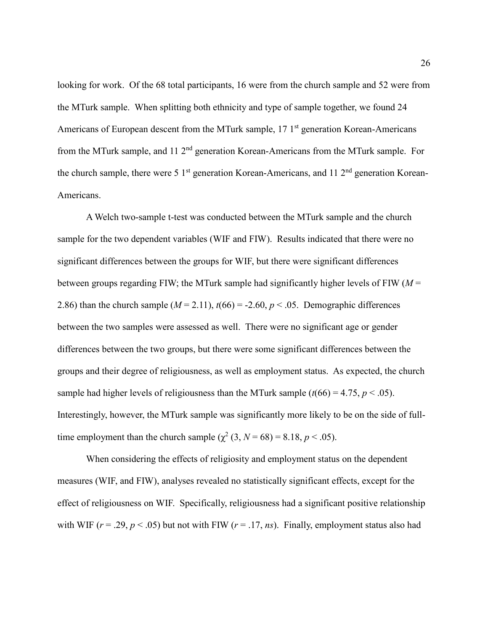looking for work. Of the 68 total participants, 16 were from the church sample and 52 were from the MTurk sample. When splitting both ethnicity and type of sample together, we found 24 Americans of European descent from the MTurk sample, 17 1<sup>st</sup> generation Korean-Americans from the MTurk sample, and 11  $2<sup>nd</sup>$  generation Korean-Americans from the MTurk sample. For the church sample, there were 5  $1<sup>st</sup>$  generation Korean-Americans, and 11  $2<sup>nd</sup>$  generation Korean-Americans.

A Welch two-sample t-test was conducted between the MTurk sample and the church sample for the two dependent variables (WIF and FIW). Results indicated that there were no significant differences between the groups for WIF, but there were significant differences between groups regarding FIW; the MTurk sample had significantly higher levels of FIW (*M* = 2.86) than the church sample  $(M = 2.11)$ ,  $t(66) = -2.60$ ,  $p < .05$ . Demographic differences between the two samples were assessed as well. There were no significant age or gender differences between the two groups, but there were some significant differences between the groups and their degree of religiousness, as well as employment status. As expected, the church sample had higher levels of religiousness than the MTurk sample  $(t(66) = 4.75, p < .05)$ . Interestingly, however, the MTurk sample was significantly more likely to be on the side of fulltime employment than the church sample  $(\chi^2 (3, N = 68) = 8.18, p < .05)$ .

When considering the effects of religiosity and employment status on the dependent measures (WIF, and FIW), analyses revealed no statistically significant effects, except for the effect of religiousness on WIF. Specifically, religiousness had a significant positive relationship with WIF ( $r = .29$ ,  $p < .05$ ) but not with FIW ( $r = .17$ , *ns*). Finally, employment status also had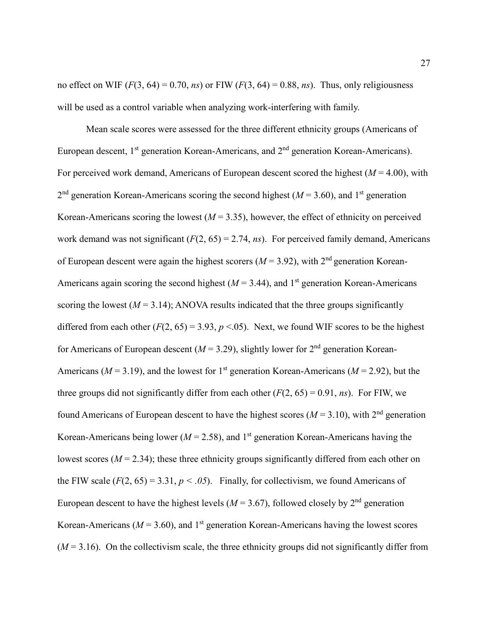no effect on WIF  $(F(3, 64) = 0.70, ns)$  or FIW  $(F(3, 64) = 0.88, ns)$ . Thus, only religiousness will be used as a control variable when analyzing work-interfering with family.

Mean scale scores were assessed for the three different ethnicity groups (Americans of European descent,  $1<sup>st</sup>$  generation Korean-Americans, and  $2<sup>nd</sup>$  generation Korean-Americans). For perceived work demand, Americans of European descent scored the highest (*M* = 4.00), with  $2<sup>nd</sup>$  generation Korean-Americans scoring the second highest ( $M = 3.60$ ), and 1<sup>st</sup> generation Korean-Americans scoring the lowest  $(M = 3.35)$ , however, the effect of ethnicity on perceived work demand was not significant  $(F(2, 65) = 2.74, ns)$ . For perceived family demand, Americans of European descent were again the highest scorers ( $M = 3.92$ ), with  $2<sup>nd</sup>$  generation Korean-Americans again scoring the second highest  $(M = 3.44)$ , and 1<sup>st</sup> generation Korean-Americans scoring the lowest  $(M = 3.14)$ ; ANOVA results indicated that the three groups significantly differed from each other  $(F(2, 65) = 3.93, p < .05)$ . Next, we found WIF scores to be the highest for Americans of European descent ( $M = 3.29$ ), slightly lower for  $2<sup>nd</sup>$  generation Korean-Americans ( $M = 3.19$ ), and the lowest for 1<sup>st</sup> generation Korean-Americans ( $M = 2.92$ ), but the three groups did not significantly differ from each other  $(F(2, 65) = 0.91, ns)$ . For FIW, we found Americans of European descent to have the highest scores ( $M = 3.10$ ), with  $2<sup>nd</sup>$  generation Korean-Americans being lower ( $M = 2.58$ ), and 1<sup>st</sup> generation Korean-Americans having the lowest scores ( $M = 2.34$ ); these three ethnicity groups significantly differed from each other on the FIW scale  $(F(2, 65) = 3.31, p < .05)$ . Finally, for collectivism, we found Americans of European descent to have the highest levels ( $M = 3.67$ ), followed closely by  $2<sup>nd</sup>$  generation Korean-Americans ( $M = 3.60$ ), and 1<sup>st</sup> generation Korean-Americans having the lowest scores  $(M=3.16)$ . On the collectivism scale, the three ethnicity groups did not significantly differ from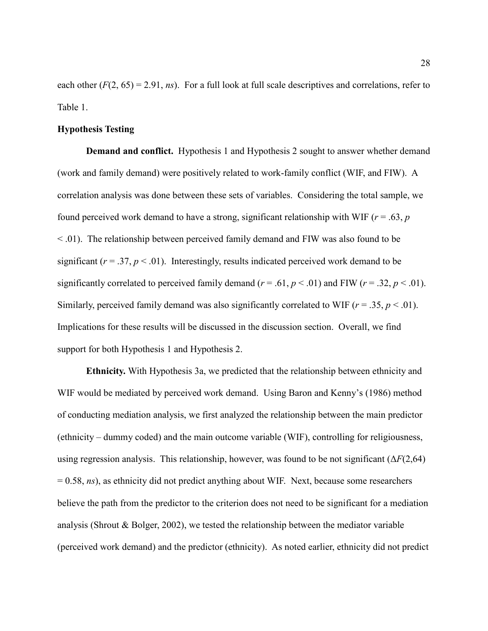each other  $(F(2, 65) = 2.91, ns)$ . For a full look at full scale descriptives and correlations, refer to Table 1.

#### <span id="page-28-0"></span>**Hypothesis Testing**

<span id="page-28-1"></span>**Demand and conflict.** Hypothesis 1 and Hypothesis 2 sought to answer whether demand (work and family demand) were positively related to work-family conflict (WIF, and FIW). A correlation analysis was done between these sets of variables. Considering the total sample, we found perceived work demand to have a strong, significant relationship with WIF (*r* = .63, *p* < .01). The relationship between perceived family demand and FIW was also found to be significant  $(r = .37, p < .01)$ . Interestingly, results indicated perceived work demand to be significantly correlated to perceived family demand  $(r = .61, p < .01)$  and FIW  $(r = .32, p < .01)$ . Similarly, perceived family demand was also significantly correlated to WIF  $(r = .35, p < .01)$ . Implications for these results will be discussed in the discussion section. Overall, we find support for both Hypothesis 1 and Hypothesis 2.

<span id="page-28-2"></span>**Ethnicity.** With Hypothesis 3a, we predicted that the relationship between ethnicity and WIF would be mediated by perceived work demand. Using Baron and Kenny's (1986) method of conducting mediation analysis, we first analyzed the relationship between the main predictor (ethnicity – dummy coded) and the main outcome variable (WIF), controlling for religiousness, using regression analysis. This relationship, however, was found to be not significant  $(\Delta F(2,64))$ = 0.58, *ns*), as ethnicity did not predict anything about WIF. Next, because some researchers believe the path from the predictor to the criterion does not need to be significant for a mediation analysis (Shrout & Bolger, 2002), we tested the relationship between the mediator variable (perceived work demand) and the predictor (ethnicity). As noted earlier, ethnicity did not predict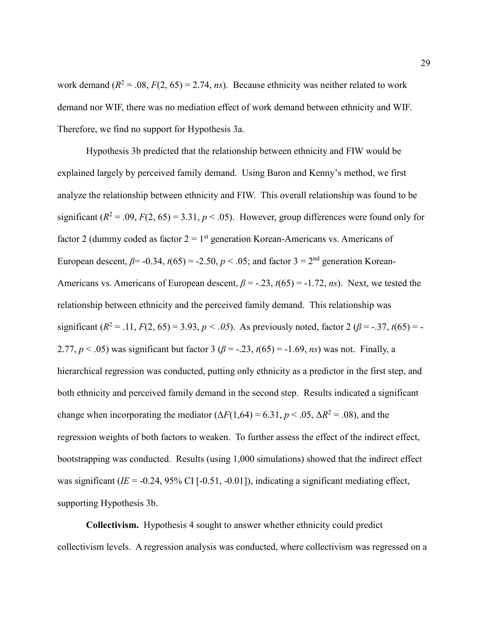work demand  $(R^2 = .08, F(2, 65) = 2.74, ns)$ . Because ethnicity was neither related to work demand nor WIF, there was no mediation effect of work demand between ethnicity and WIF. Therefore, we find no support for Hypothesis 3a.

Hypothesis 3b predicted that the relationship between ethnicity and FIW would be explained largely by perceived family demand. Using Baron and Kenny's method, we first analyze the relationship between ethnicity and FIW. This overall relationship was found to be significant  $(R^2 = .09, F(2, 65) = 3.31, p < .05)$ . However, group differences were found only for factor 2 (dummy coded as factor  $2 = 1<sup>st</sup>$  generation Korean-Americans vs. Americans of European descent,  $\beta$ = -0.34,  $t(65)$  = -2.50,  $p < .05$ ; and factor 3 = 2<sup>nd</sup> generation Korean-Americans vs. Americans of European descent,  $\beta = -0.23$ ,  $t(65) = -1.72$ , *ns*). Next, we tested the relationship between ethnicity and the perceived family demand. This relationship was significant  $(R^2 = .11, F(2, 65) = 3.93, p < .05)$ . As previously noted, factor 2  $(\beta = .37, t(65) = -1)$ 2.77,  $p < .05$ ) was significant but factor 3 ( $\beta = -.23$ ,  $t(65) = -1.69$ , *ns*) was not. Finally, a hierarchical regression was conducted, putting only ethnicity as a predictor in the first step, and both ethnicity and perceived family demand in the second step. Results indicated a significant change when incorporating the mediator  $(\Delta F(1,64) = 6.31, p < .05, \Delta R^2 = .08)$ , and the regression weights of both factors to weaken. To further assess the effect of the indirect effect, bootstrapping was conducted. Results (using 1,000 simulations) showed that the indirect effect was significant (*IE* = -0.24, 95% CI [-0.51, -0.01]), indicating a significant mediating effect, supporting Hypothesis 3b.

<span id="page-29-0"></span>**Collectivism.** Hypothesis 4 sought to answer whether ethnicity could predict collectivism levels. A regression analysis was conducted, where collectivism was regressed on a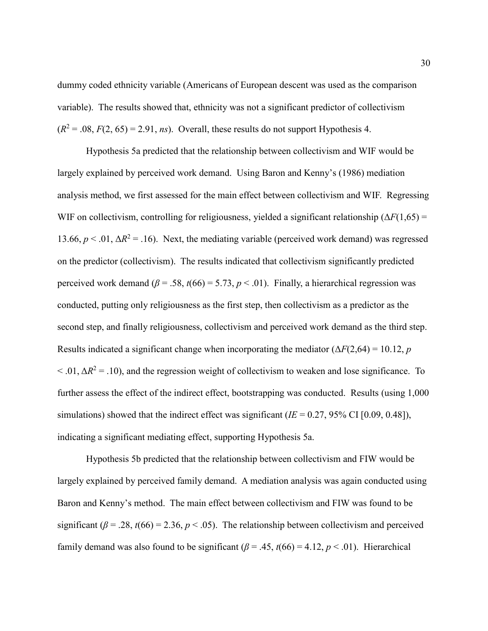dummy coded ethnicity variable (Americans of European descent was used as the comparison variable). The results showed that, ethnicity was not a significant predictor of collectivism  $(R^2 = .08, F(2, 65) = 2.91, ns)$ . Overall, these results do not support Hypothesis 4.

Hypothesis 5a predicted that the relationship between collectivism and WIF would be largely explained by perceived work demand. Using Baron and Kenny's (1986) mediation analysis method, we first assessed for the main effect between collectivism and WIF. Regressing WIF on collectivism, controlling for religiousness, yielded a significant relationship  $(\Delta F(1,65)$  = 13.66,  $p < 0.01$ ,  $\Delta R^2 = 0.16$ ). Next, the mediating variable (perceived work demand) was regressed on the predictor (collectivism). The results indicated that collectivism significantly predicted perceived work demand ( $\beta$  = .58,  $t(66)$  = 5.73,  $p$  < .01). Finally, a hierarchical regression was conducted, putting only religiousness as the first step, then collectivism as a predictor as the second step, and finally religiousness, collectivism and perceived work demand as the third step. Results indicated a significant change when incorporating the mediator  $(\Delta F(2,64) = 10.12, p$  $<$  .01,  $\Delta R^2$  = .10), and the regression weight of collectivism to weaken and lose significance. To further assess the effect of the indirect effect, bootstrapping was conducted. Results (using 1,000 simulations) showed that the indirect effect was significant ( $IE = 0.27, 95\%$  CI [0.09, 0.48]), indicating a significant mediating effect, supporting Hypothesis 5a.

Hypothesis 5b predicted that the relationship between collectivism and FIW would be largely explained by perceived family demand. A mediation analysis was again conducted using Baron and Kenny's method. The main effect between collectivism and FIW was found to be significant ( $\beta$  = .28,  $t(66)$  = 2.36,  $p$  < .05). The relationship between collectivism and perceived family demand was also found to be significant ( $\beta$  = .45,  $t$ (66) = 4.12,  $p$  < .01). Hierarchical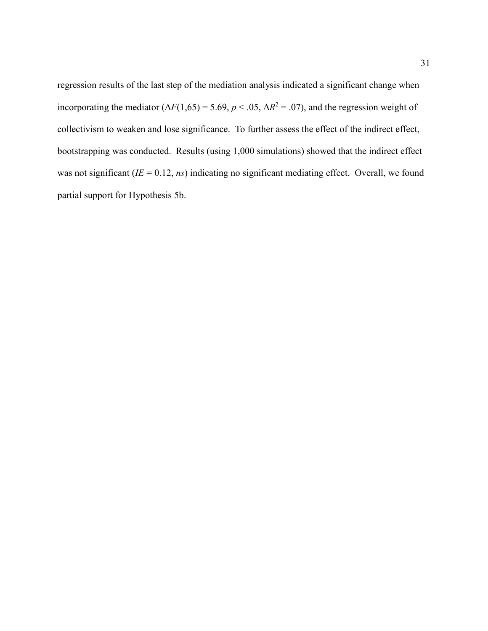regression results of the last step of the mediation analysis indicated a significant change when incorporating the mediator  $(\Delta F(1,65) = 5.69, p < .05, \Delta R^2 = .07)$ , and the regression weight of collectivism to weaken and lose significance. To further assess the effect of the indirect effect, bootstrapping was conducted. Results (using 1,000 simulations) showed that the indirect effect was not significant  $(IE = 0.12, ns)$  indicating no significant mediating effect. Overall, we found partial support for Hypothesis 5b.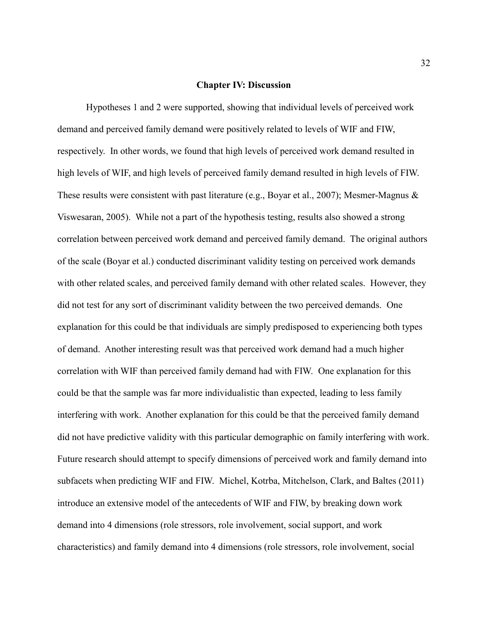#### **Chapter IV: Discussion**

<span id="page-32-0"></span>Hypotheses 1 and 2 were supported, showing that individual levels of perceived work demand and perceived family demand were positively related to levels of WIF and FIW, respectively. In other words, we found that high levels of perceived work demand resulted in high levels of WIF, and high levels of perceived family demand resulted in high levels of FIW. These results were consistent with past literature (e.g., Boyar et al., 2007); Mesmer-Magnus  $\&$ Viswesaran, 2005). While not a part of the hypothesis testing, results also showed a strong correlation between perceived work demand and perceived family demand. The original authors of the scale (Boyar et al.) conducted discriminant validity testing on perceived work demands with other related scales, and perceived family demand with other related scales. However, they did not test for any sort of discriminant validity between the two perceived demands. One explanation for this could be that individuals are simply predisposed to experiencing both types of demand. Another interesting result was that perceived work demand had a much higher correlation with WIF than perceived family demand had with FIW. One explanation for this could be that the sample was far more individualistic than expected, leading to less family interfering with work. Another explanation for this could be that the perceived family demand did not have predictive validity with this particular demographic on family interfering with work. Future research should attempt to specify dimensions of perceived work and family demand into subfacets when predicting WIF and FIW. Michel, Kotrba, Mitchelson, Clark, and Baltes (2011) introduce an extensive model of the antecedents of WIF and FIW, by breaking down work demand into 4 dimensions (role stressors, role involvement, social support, and work characteristics) and family demand into 4 dimensions (role stressors, role involvement, social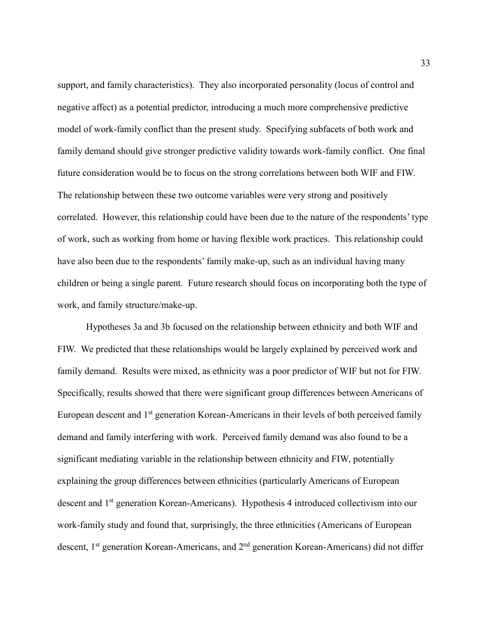support, and family characteristics). They also incorporated personality (locus of control and negative affect) as a potential predictor, introducing a much more comprehensive predictive model of work-family conflict than the present study. Specifying subfacets of both work and family demand should give stronger predictive validity towards work-family conflict. One final future consideration would be to focus on the strong correlations between both WIF and FIW. The relationship between these two outcome variables were very strong and positively correlated. However, this relationship could have been due to the nature of the respondents' type of work, such as working from home or having flexible work practices. This relationship could have also been due to the respondents' family make-up, such as an individual having many children or being a single parent. Future research should focus on incorporating both the type of work, and family structure/make-up.

Hypotheses 3a and 3b focused on the relationship between ethnicity and both WIF and FIW. We predicted that these relationships would be largely explained by perceived work and family demand. Results were mixed, as ethnicity was a poor predictor of WIF but not for FIW. Specifically, results showed that there were significant group differences between Americans of European descent and 1<sup>st</sup> generation Korean-Americans in their levels of both perceived family demand and family interfering with work. Perceived family demand was also found to be a significant mediating variable in the relationship between ethnicity and FIW, potentially explaining the group differences between ethnicities (particularly Americans of European descent and 1<sup>st</sup> generation Korean-Americans). Hypothesis 4 introduced collectivism into our work-family study and found that, surprisingly, the three ethnicities (Americans of European descent, 1<sup>st</sup> generation Korean-Americans, and 2<sup>nd</sup> generation Korean-Americans) did not differ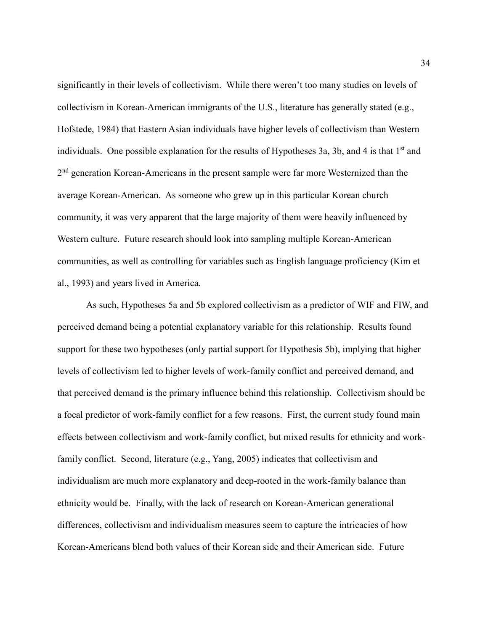significantly in their levels of collectivism. While there weren't too many studies on levels of collectivism in Korean-American immigrants of the U.S., literature has generally stated (e.g., Hofstede, 1984) that Eastern Asian individuals have higher levels of collectivism than Western individuals. One possible explanation for the results of Hypotheses 3a, 3b, and 4 is that  $1<sup>st</sup>$  and 2<sup>nd</sup> generation Korean-Americans in the present sample were far more Westernized than the average Korean-American. As someone who grew up in this particular Korean church community, it was very apparent that the large majority of them were heavily influenced by Western culture. Future research should look into sampling multiple Korean-American communities, as well as controlling for variables such as English language proficiency (Kim et al., 1993) and years lived in America.

As such, Hypotheses 5a and 5b explored collectivism as a predictor of WIF and FIW, and perceived demand being a potential explanatory variable for this relationship. Results found support for these two hypotheses (only partial support for Hypothesis 5b), implying that higher levels of collectivism led to higher levels of work-family conflict and perceived demand, and that perceived demand is the primary influence behind this relationship. Collectivism should be a focal predictor of work-family conflict for a few reasons. First, the current study found main effects between collectivism and work-family conflict, but mixed results for ethnicity and workfamily conflict. Second, literature (e.g., Yang, 2005) indicates that collectivism and individualism are much more explanatory and deep-rooted in the work-family balance than ethnicity would be. Finally, with the lack of research on Korean-American generational differences, collectivism and individualism measures seem to capture the intricacies of how Korean-Americans blend both values of their Korean side and their American side. Future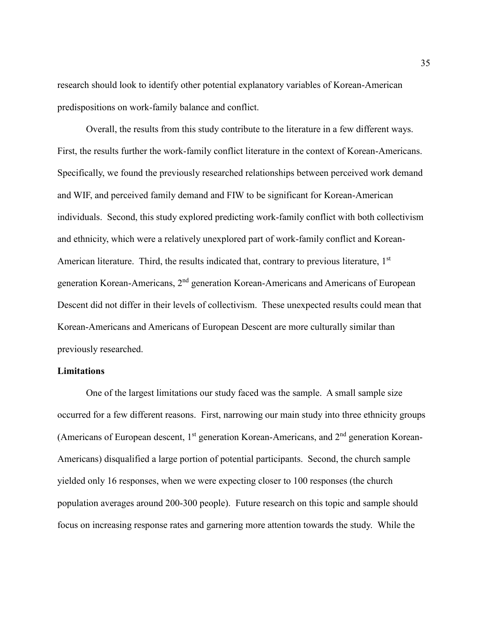research should look to identify other potential explanatory variables of Korean-American predispositions on work-family balance and conflict.

Overall, the results from this study contribute to the literature in a few different ways. First, the results further the work-family conflict literature in the context of Korean-Americans. Specifically, we found the previously researched relationships between perceived work demand and WIF, and perceived family demand and FIW to be significant for Korean-American individuals. Second, this study explored predicting work-family conflict with both collectivism and ethnicity, which were a relatively unexplored part of work-family conflict and Korean-American literature. Third, the results indicated that, contrary to previous literature, 1<sup>st</sup> generation Korean-Americans, 2nd generation Korean-Americans and Americans of European Descent did not differ in their levels of collectivism. These unexpected results could mean that Korean-Americans and Americans of European Descent are more culturally similar than previously researched.

#### <span id="page-35-0"></span>**Limitations**

One of the largest limitations our study faced was the sample. A small sample size occurred for a few different reasons. First, narrowing our main study into three ethnicity groups (Americans of European descent,  $1<sup>st</sup>$  generation Korean-Americans, and  $2<sup>nd</sup>$  generation Korean-Americans) disqualified a large portion of potential participants. Second, the church sample yielded only 16 responses, when we were expecting closer to 100 responses (the church population averages around 200-300 people). Future research on this topic and sample should focus on increasing response rates and garnering more attention towards the study. While the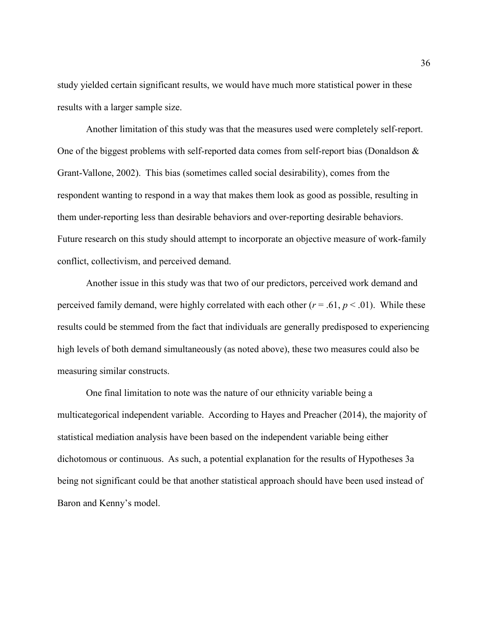study yielded certain significant results, we would have much more statistical power in these results with a larger sample size.

Another limitation of this study was that the measures used were completely self-report. One of the biggest problems with self-reported data comes from self-report bias (Donaldson & Grant-Vallone, 2002). This bias (sometimes called social desirability), comes from the respondent wanting to respond in a way that makes them look as good as possible, resulting in them under-reporting less than desirable behaviors and over-reporting desirable behaviors. Future research on this study should attempt to incorporate an objective measure of work-family conflict, collectivism, and perceived demand.

Another issue in this study was that two of our predictors, perceived work demand and perceived family demand, were highly correlated with each other  $(r = .61, p < .01)$ . While these results could be stemmed from the fact that individuals are generally predisposed to experiencing high levels of both demand simultaneously (as noted above), these two measures could also be measuring similar constructs.

<span id="page-36-0"></span>One final limitation to note was the nature of our ethnicity variable being a multicategorical independent variable. According to Hayes and Preacher (2014), the majority of statistical mediation analysis have been based on the independent variable being either dichotomous or continuous. As such, a potential explanation for the results of Hypotheses 3a being not significant could be that another statistical approach should have been used instead of Baron and Kenny's model.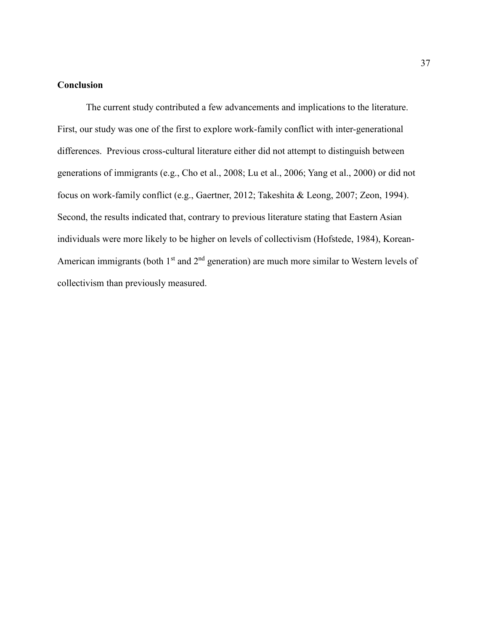#### **Conclusion**

The current study contributed a few advancements and implications to the literature. First, our study was one of the first to explore work-family conflict with inter-generational differences. Previous cross-cultural literature either did not attempt to distinguish between generations of immigrants (e.g., Cho et al., 2008; Lu et al., 2006; Yang et al., 2000) or did not focus on work-family conflict (e.g., Gaertner, 2012; Takeshita & Leong, 2007; Zeon, 1994). Second, the results indicated that, contrary to previous literature stating that Eastern Asian individuals were more likely to be higher on levels of collectivism (Hofstede, 1984), Korean-American immigrants (both  $1<sup>st</sup>$  and  $2<sup>nd</sup>$  generation) are much more similar to Western levels of collectivism than previously measured.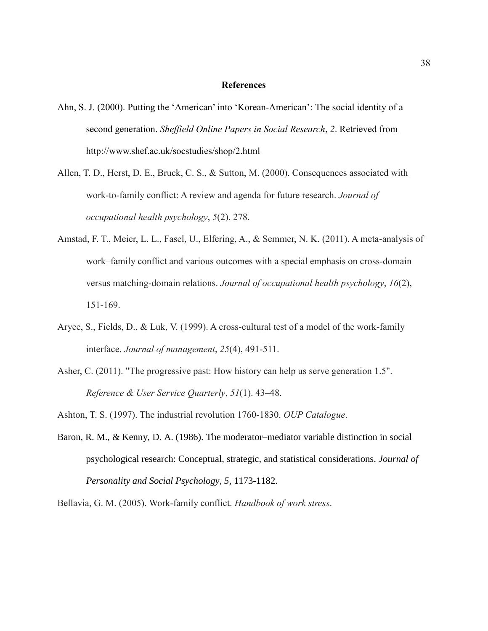#### **References**

- <span id="page-38-0"></span>Ahn, S. J. (2000). Putting the 'American' into 'Korean-American': The social identity of a second generation. *Sheffield Online Papers in Social Research*, *2*. Retrieved from <http://www.shef.ac.uk/socstudies/shop/2.html>
- Allen, T. D., Herst, D. E., Bruck, C. S., & Sutton, M. (2000). Consequences associated with work-to-family conflict: A review and agenda for future research. *Journal of occupational health psychology*, *5*(2), 278.
- Amstad, F. T., Meier, L. L., Fasel, U., Elfering, A., & Semmer, N. K. (2011). A meta-analysis of work–family conflict and various outcomes with a special emphasis on cross-domain versus matching-domain relations. *Journal of occupational health psychology*, *16*(2), 151-169.
- Aryee, S., Fields, D., & Luk, V. (1999). A cross-cultural test of a model of the work-family interface. *Journal of management*, *25*(4), 491-511.
- Asher, C. (2011). "The progressive past: How history can help us serve generation 1.5". *Reference & User Service Quarterly*, *51*(1). 43–48.
- Ashton, T. S. (1997). The industrial revolution 1760-1830. *OUP Catalogue*.
- Baron, R. M., & Kenny, D. A. (1986). The moderator–mediator variable distinction in social psychological research: Conceptual, strategic, and statistical considerations. *Journal of Personality and Social Psychology, 5,* 1173-1182.

Bellavia, G. M. (2005). Work-family conflict. *Handbook of work stress*.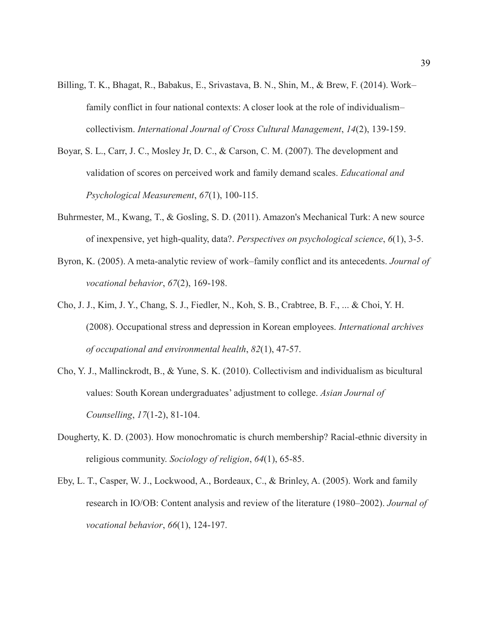- Billing, T. K., Bhagat, R., Babakus, E., Srivastava, B. N., Shin, M., & Brew, F. (2014). Work– family conflict in four national contexts: A closer look at the role of individualism– collectivism. *International Journal of Cross Cultural Management*, *14*(2), 139-159.
- Boyar, S. L., Carr, J. C., Mosley Jr, D. C., & Carson, C. M. (2007). The development and validation of scores on perceived work and family demand scales. *Educational and Psychological Measurement*, *67*(1), 100-115.
- Buhrmester, M., Kwang, T., & Gosling, S. D. (2011). Amazon's Mechanical Turk: A new source of inexpensive, yet high-quality, data?. *Perspectives on psychological science*, *6*(1), 3-5.
- Byron, K. (2005). A meta-analytic review of work–family conflict and its antecedents. *Journal of vocational behavior*, *67*(2), 169-198.
- Cho, J. J., Kim, J. Y., Chang, S. J., Fiedler, N., Koh, S. B., Crabtree, B. F., ... & Choi, Y. H. (2008). Occupational stress and depression in Korean employees. *International archives of occupational and environmental health*, *82*(1), 47-57.
- Cho, Y. J., Mallinckrodt, B., & Yune, S. K. (2010). Collectivism and individualism as bicultural values: South Korean undergraduates' adjustment to college. *Asian Journal of Counselling*, *17*(1-2), 81-104.
- Dougherty, K. D. (2003). How monochromatic is church membership? Racial-ethnic diversity in religious community. *Sociology of religion*, *64*(1), 65-85.
- Eby, L. T., Casper, W. J., Lockwood, A., Bordeaux, C., & Brinley, A. (2005). Work and family research in IO/OB: Content analysis and review of the literature (1980–2002). *Journal of vocational behavior*, *66*(1), 124-197.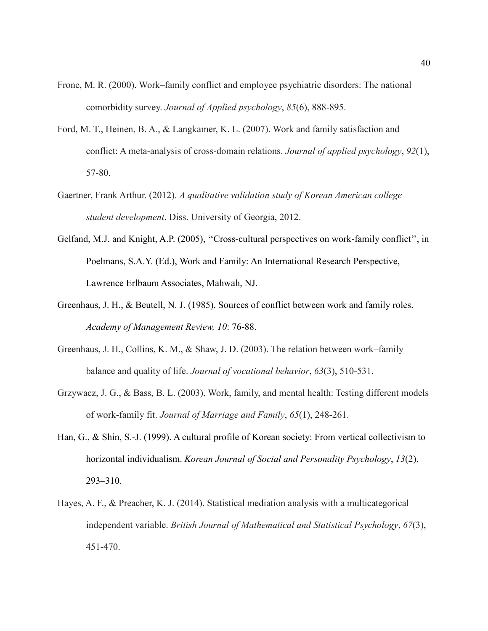- Frone, M. R. (2000). Work–family conflict and employee psychiatric disorders: The national comorbidity survey. *Journal of Applied psychology*, *85*(6), 888-895.
- Ford, M. T., Heinen, B. A., & Langkamer, K. L. (2007). Work and family satisfaction and conflict: A meta-analysis of cross-domain relations. *Journal of applied psychology*, *92*(1), 57-80.
- Gaertner, Frank Arthur. (2012). *A qualitative validation study of Korean American college student development*. Diss. University of Georgia, 2012.
- Gelfand, M.J. and Knight, A.P. (2005), ''Cross-cultural perspectives on work-family conflict'', in Poelmans, S.A.Y. (Ed.), Work and Family: An International Research Perspective, Lawrence Erlbaum Associates, Mahwah, NJ.
- Greenhaus, J. H., & Beutell, N. J. (1985). Sources of conflict between work and family roles. *Academy of Management Review, 10*: 76-88.
- Greenhaus, J. H., Collins, K. M., & Shaw, J. D. (2003). The relation between work–family balance and quality of life. *Journal of vocational behavior*, *63*(3), 510-531.
- Grzywacz, J. G., & Bass, B. L. (2003). Work, family, and mental health: Testing different models of work‐family fit. *Journal of Marriage and Family*, *65*(1), 248-261.
- Han, G., & Shin, S.-J. (1999). A cultural profile of Korean society: From vertical collectivism to horizontal individualism. *Korean Journal of Social and Personality Psychology*, *13*(2), 293–310.
- Hayes, A. F., & Preacher, K. J. (2014). Statistical mediation analysis with a multicategorical independent variable. *British Journal of Mathematical and Statistical Psychology*, *67*(3), 451-470.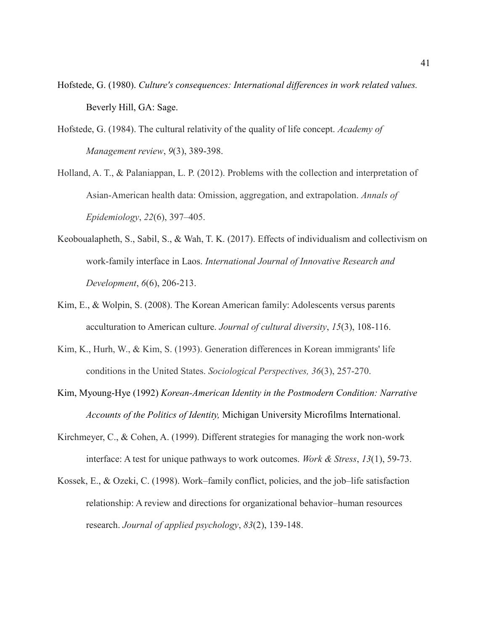- Hofstede, G. (1980). *Culture's consequences: International differences in work related values.*  Beverly Hill, GA: Sage.
- Hofstede, G. (1984). The cultural relativity of the quality of life concept. *Academy of Management review*, *9*(3), 389-398.
- Holland, A. T., & Palaniappan, L. P. (2012). Problems with the collection and interpretation of Asian-American health data: Omission, aggregation, and extrapolation. *Annals of Epidemiology*, *22*(6), 397–405.
- Keoboualapheth, S., Sabil, S., & Wah, T. K. (2017). Effects of individualism and collectivism on work-family interface in Laos. *International Journal of Innovative Research and Development*, *6*(6), 206-213.
- Kim, E., & Wolpin, S. (2008). The Korean American family: Adolescents versus parents acculturation to American culture. *Journal of cultural diversity*, *15*(3), 108-116.
- Kim, K., Hurh, W., & Kim, S. (1993). Generation differences in Korean immigrants' life conditions in the United States. *Sociological Perspectives, 36*(3), 257-270.
- Kim, Myoung-Hye (1992) *Korean-American Identity in the Postmodern Condition: Narrative Accounts of the Politics of Identity,* Michigan University Microfilms International.
- Kirchmeyer, C., & Cohen, A. (1999). Different strategies for managing the work non-work interface: A test for unique pathways to work outcomes. *Work & Stress*, *13*(1), 59-73.
- Kossek, E., & Ozeki, C. (1998). Work–family conflict, policies, and the job–life satisfaction relationship: A review and directions for organizational behavior–human resources research. *Journal of applied psychology*, *83*(2), 139-148.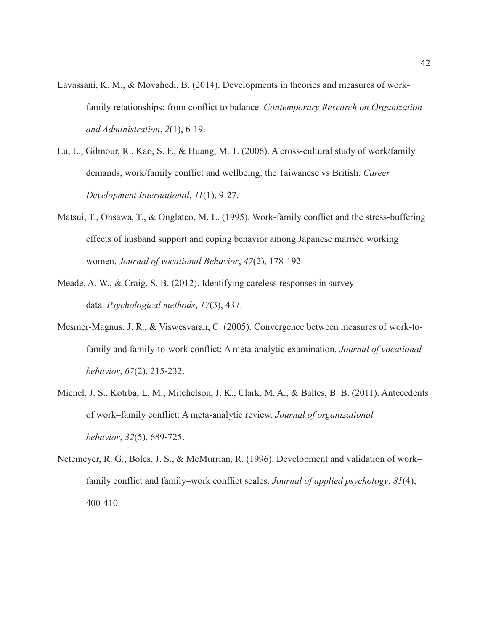- Lavassani, K. M., & Movahedi, B. (2014). Developments in theories and measures of workfamily relationships: from conflict to balance. *Contemporary Research on Organization and Administration*, *2*(1), 6-19.
- Lu, L., Gilmour, R., Kao, S. F., & Huang, M. T. (2006). A cross-cultural study of work/family demands, work/family conflict and wellbeing: the Taiwanese vs British. *Career Development International*, *11*(1), 9-27.
- Matsui, T., Ohsawa, T., & Onglatco, M. L. (1995). Work-family conflict and the stress-buffering effects of husband support and coping behavior among Japanese married working women. *Journal of vocational Behavior*, *47*(2), 178-192.
- Meade, A. W., & Craig, S. B. (2012). Identifying careless responses in survey data. *Psychological methods*, *17*(3), 437.
- Mesmer-Magnus, J. R., & Viswesvaran, C. (2005). Convergence between measures of work-tofamily and family-to-work conflict: A meta-analytic examination. *Journal of vocational behavior*, *67*(2), 215-232.
- Michel, J. S., Kotrba, L. M., Mitchelson, J. K., Clark, M. A., & Baltes, B. B. (2011). Antecedents of work–family conflict: A meta‐analytic review. *Journal of organizational behavior*, *32*(5), 689-725.
- Netemeyer, R. G., Boles, J. S., & McMurrian, R. (1996). Development and validation of work– family conflict and family–work conflict scales. *Journal of applied psychology*, *81*(4), 400-410.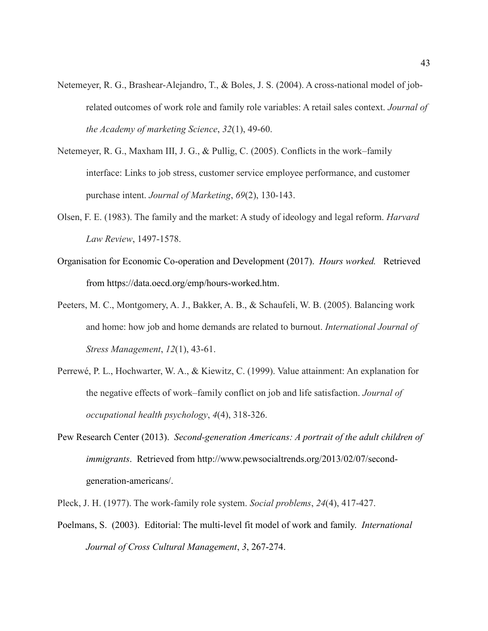- Netemeyer, R. G., Brashear-Alejandro, T., & Boles, J. S. (2004). A cross-national model of jobrelated outcomes of work role and family role variables: A retail sales context. *Journal of the Academy of marketing Science*, *32*(1), 49-60.
- Netemeyer, R. G., Maxham III, J. G., & Pullig, C. (2005). Conflicts in the work–family interface: Links to job stress, customer service employee performance, and customer purchase intent. *Journal of Marketing*, *69*(2), 130-143.
- Olsen, F. E. (1983). The family and the market: A study of ideology and legal reform. *Harvard Law Review*, 1497-1578.
- Organisation for Economic Co-operation and Development (2017). *Hours worked.* Retrieved from [https://data.oecd.org/emp/hours-worked.htm.](https://data.oecd.org/emp/hours-worked.htm)
- Peeters, M. C., Montgomery, A. J., Bakker, A. B., & Schaufeli, W. B. (2005). Balancing work and home: how job and home demands are related to burnout. *International Journal of Stress Management*, *12*(1), 43-61.
- Perrewé, P. L., Hochwarter, W. A., & Kiewitz, C. (1999). Value attainment: An explanation for the negative effects of work–family conflict on job and life satisfaction. *Journal of occupational health psychology*, *4*(4), 318-326.
- Pew Research Center (2013). *Second-generation Americans: A portrait of the adult children of immigrants*. Retrieved from [http://www.pewsocialtrends.org/2013/02/07/second](http://www.pewsocialtrends.org/2013/02/07/second-generation-americans/)[generation-americans/.](http://www.pewsocialtrends.org/2013/02/07/second-generation-americans/)

Pleck, J. H. (1977). The work-family role system. *Social problems*, *24*(4), 417-427.

Poelmans, S. (2003). Editorial: The multi-level fit model of work and family. *International Journal of Cross Cultural Management*, *3*, 267-274.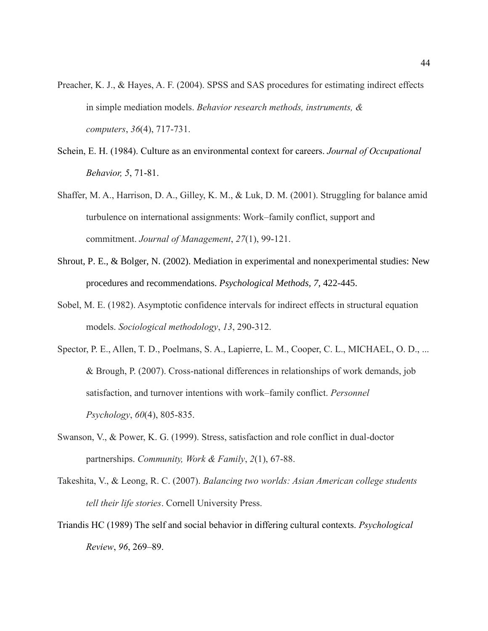- Preacher, K. J., & Hayes, A. F. (2004). SPSS and SAS procedures for estimating indirect effects in simple mediation models. *Behavior research methods, instruments, & computers*, *36*(4), 717-731.
- Schein, E. H. (1984). Culture as an environmental context for careers. *Journal of Occupational Behavior, 5*, 71-81.
- Shaffer, M. A., Harrison, D. A., Gilley, K. M., & Luk, D. M. (2001). Struggling for balance amid turbulence on international assignments: Work–family conflict, support and commitment. *Journal of Management*, *27*(1), 99-121.
- Shrout, P. E., & Bolger, N. (2002). Mediation in experimental and nonexperimental studies: New procedures and recommendations. *Psychological Methods, 7,* 422-445.
- Sobel, M. E. (1982). Asymptotic confidence intervals for indirect effects in structural equation models. *Sociological methodology*, *13*, 290-312.
- Spector, P. E., Allen, T. D., Poelmans, S. A., Lapierre, L. M., Cooper, C. L., MICHAEL, O. D., ... & Brough, P. (2007). Cross‐national differences in relationships of work demands, job satisfaction, and turnover intentions with work–family conflict. *Personnel Psychology*, *60*(4), 805-835.
- Swanson, V., & Power, K. G. (1999). Stress, satisfaction and role conflict in dual-doctor partnerships. *Community, Work & Family*, *2*(1), 67-88.
- Takeshita, V., & Leong, R. C. (2007). *Balancing two worlds: Asian American college students tell their life stories*. Cornell University Press.
- Triandis HC (1989) The self and social behavior in differing cultural contexts. *Psychological Review*, *96*, 269–89.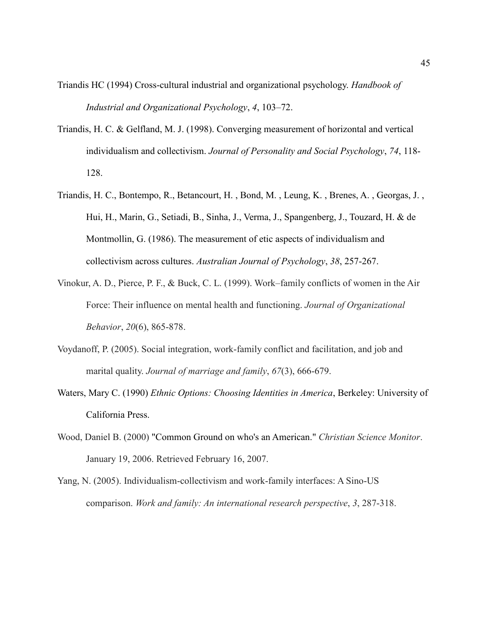- Triandis HC (1994) Cross-cultural industrial and organizational psychology. *Handbook of Industrial and Organizational Psychology*, *4*, 103–72.
- Triandis, H. C. & Gelfland, M. J. (1998). Converging measurement of horizontal and vertical individualism and collectivism. *Journal of Personality and Social Psychology*, *74*, 118- 128.
- Triandis, H. C., Bontempo, R., Betancourt, H. , Bond, M. , Leung, K. , Brenes, A. , Georgas, J. , Hui, H., Marin, G., Setiadi, B., Sinha, J., Verma, J., Spangenberg, J., Touzard, H. & de Montmollin, G. (1986). The measurement of etic aspects of individualism and collectivism across cultures. *Australian Journal of Psychology*, *38*, 257-267.
- Vinokur, A. D., Pierce, P. F., & Buck, C. L. (1999). Work–family conflicts of women in the Air Force: Their influence on mental health and functioning. *Journal of Organizational Behavior*, *20*(6), 865-878.
- Voydanoff, P. (2005). Social integration, work‐family conflict and facilitation, and job and marital quality. *Journal of marriage and family*, *67*(3), 666-679.
- Waters, Mary C. (1990) *Ethnic Options: Choosing Identities in America*, Berkeley: University of California Press.
- Wood, Daniel B. (2000) "Common Ground on who's an American." *Christian Science Monitor*. January 19, 2006. Retrieved February 16, 2007.
- Yang, N. (2005). Individualism-collectivism and work-family interfaces: A Sino-US comparison. *Work and family: An international research perspective*, *3*, 287-318.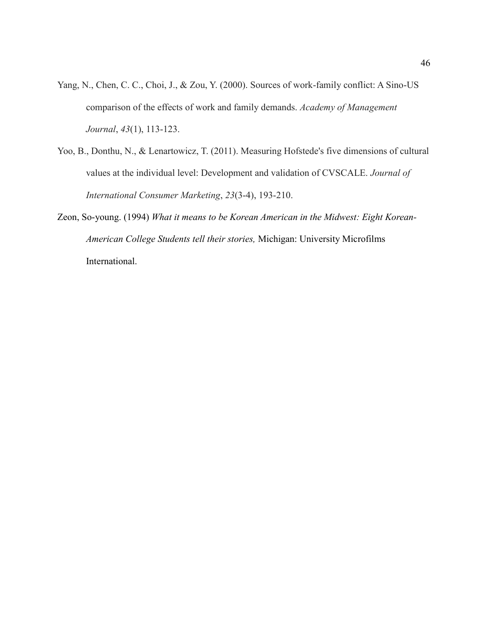- Yang, N., Chen, C. C., Choi, J., & Zou, Y. (2000). Sources of work-family conflict: A Sino-US comparison of the effects of work and family demands. *Academy of Management Journal*, *43*(1), 113-123.
- Yoo, B., Donthu, N., & Lenartowicz, T. (2011). Measuring Hofstede's five dimensions of cultural values at the individual level: Development and validation of CVSCALE. *Journal of International Consumer Marketing*, *23*(3-4), 193-210.
- Zeon, So-young. (1994) *What it means to be Korean American in the Midwest: Eight Korean-American College Students tell their stories,* Michigan: University Microfilms International.